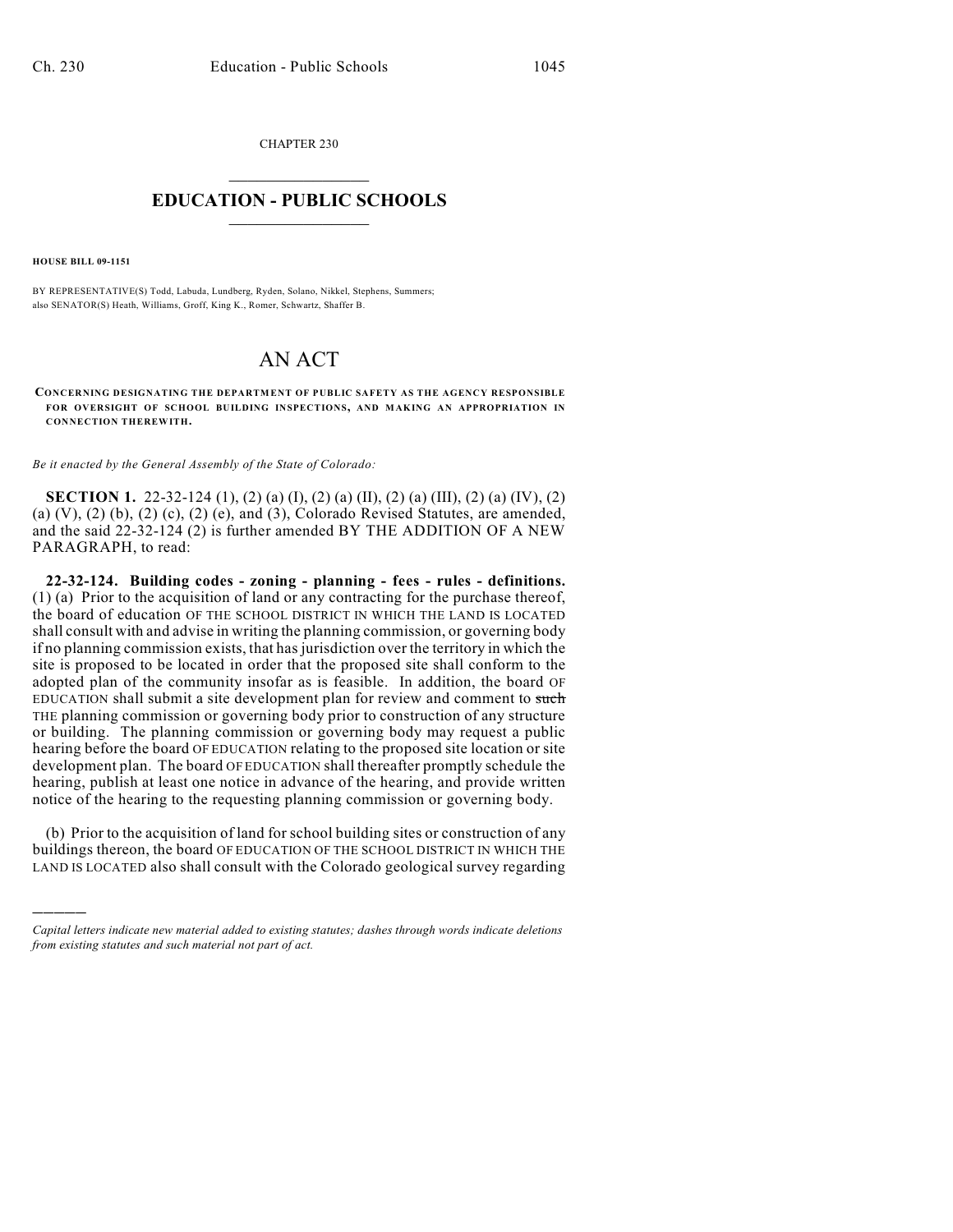CHAPTER 230  $\mathcal{L}_\text{max}$  . The set of the set of the set of the set of the set of the set of the set of the set of the set of the set of the set of the set of the set of the set of the set of the set of the set of the set of the set

## **EDUCATION - PUBLIC SCHOOLS**  $\_$   $\_$   $\_$   $\_$   $\_$   $\_$   $\_$   $\_$   $\_$

**HOUSE BILL 09-1151**

)))))

BY REPRESENTATIVE(S) Todd, Labuda, Lundberg, Ryden, Solano, Nikkel, Stephens, Summers; also SENATOR(S) Heath, Williams, Groff, King K., Romer, Schwartz, Shaffer B.

## AN ACT

**CONCERNING DESIGNATING THE DEPARTMENT OF PUBLIC SAFETY AS THE AGENCY RESPONSIBLE FOR OVERSIGHT OF SCHOOL BUILDING INSPECTIONS, AND MAKING AN APPROPRIATION IN CONNECTION THEREWITH.**

*Be it enacted by the General Assembly of the State of Colorado:*

**SECTION 1.** 22-32-124 (1), (2) (a) (I), (2) (a) (II), (2) (a) (III), (2) (a) (IV), (2) (a)  $(V)$ ,  $(2)$   $(b)$ ,  $(2)$   $(c)$ ,  $(2)$   $(e)$ , and  $(3)$ , Colorado Revised Statutes, are amended, and the said 22-32-124 (2) is further amended BY THE ADDITION OF A NEW PARAGRAPH, to read:

**22-32-124. Building codes - zoning - planning - fees - rules - definitions.** (1) (a) Prior to the acquisition of land or any contracting for the purchase thereof, the board of education OF THE SCHOOL DISTRICT IN WHICH THE LAND IS LOCATED shall consult with and advise in writing the planning commission, or governing body if no planning commission exists, that has jurisdiction over the territory in which the site is proposed to be located in order that the proposed site shall conform to the adopted plan of the community insofar as is feasible. In addition, the board OF EDUCATION shall submit a site development plan for review and comment to such THE planning commission or governing body prior to construction of any structure or building. The planning commission or governing body may request a public hearing before the board OF EDUCATION relating to the proposed site location or site development plan. The board OF EDUCATION shall thereafter promptly schedule the hearing, publish at least one notice in advance of the hearing, and provide written notice of the hearing to the requesting planning commission or governing body.

(b) Prior to the acquisition of land for school building sites or construction of any buildings thereon, the board OF EDUCATION OF THE SCHOOL DISTRICT IN WHICH THE LAND IS LOCATED also shall consult with the Colorado geological survey regarding

*Capital letters indicate new material added to existing statutes; dashes through words indicate deletions from existing statutes and such material not part of act.*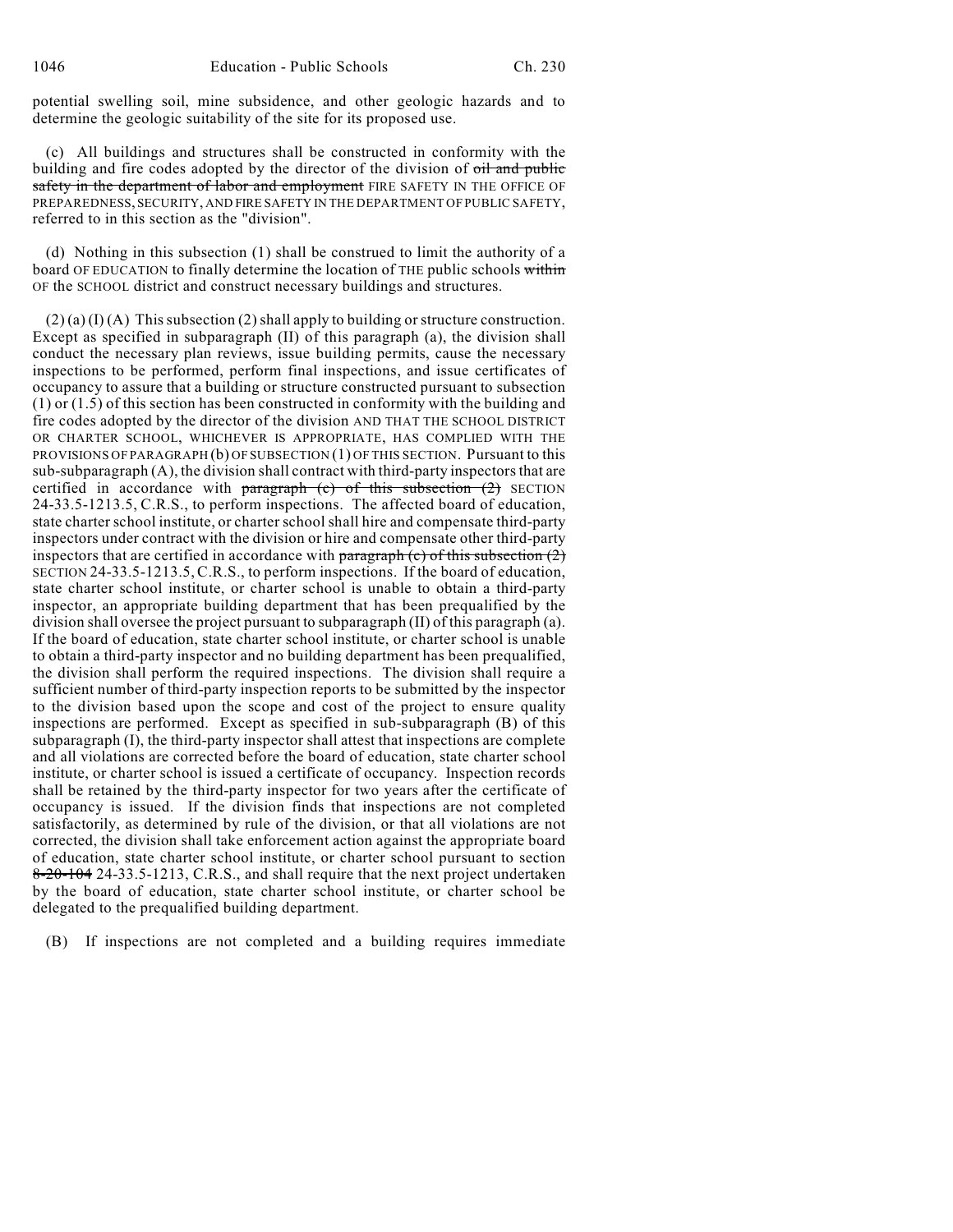potential swelling soil, mine subsidence, and other geologic hazards and to determine the geologic suitability of the site for its proposed use.

(c) All buildings and structures shall be constructed in conformity with the building and fire codes adopted by the director of the division of  $\sigma$ il and public safety in the department of labor and employment FIRE SAFETY IN THE OFFICE OF PREPAREDNESS, SECURITY, AND FIRE SAFETY IN THE DEPARTMENT OF PUBLIC SAFETY, referred to in this section as the "division".

(d) Nothing in this subsection (1) shall be construed to limit the authority of a board OF EDUCATION to finally determine the location of THE public schools within OF the SCHOOL district and construct necessary buildings and structures.

 $(2)$  (a) (I) (A) This subsection (2) shall apply to building or structure construction. Except as specified in subparagraph (II) of this paragraph (a), the division shall conduct the necessary plan reviews, issue building permits, cause the necessary inspections to be performed, perform final inspections, and issue certificates of occupancy to assure that a building or structure constructed pursuant to subsection (1) or (1.5) of this section has been constructed in conformity with the building and fire codes adopted by the director of the division AND THAT THE SCHOOL DISTRICT OR CHARTER SCHOOL, WHICHEVER IS APPROPRIATE, HAS COMPLIED WITH THE PROVISIONS OF PARAGRAPH (b) OF SUBSECTION (1) OF THIS SECTION. Pursuant to this sub-subparagraph (A), the division shall contract with third-party inspectors that are certified in accordance with  $\frac{1}{2}$  paragraph (c) of this subsection (2) SECTION 24-33.5-1213.5, C.R.S., to perform inspections. The affected board of education, state charter school institute, or charter school shall hire and compensate third-party inspectors under contract with the division or hire and compensate other third-party inspectors that are certified in accordance with  $\frac{\text{parameter of}}{\text{mean of}}$  (c) of this subsection (2) SECTION 24-33.5-1213.5, C.R.S., to perform inspections. If the board of education, state charter school institute, or charter school is unable to obtain a third-party inspector, an appropriate building department that has been prequalified by the division shall oversee the project pursuant to subparagraph (II) of this paragraph (a). If the board of education, state charter school institute, or charter school is unable to obtain a third-party inspector and no building department has been prequalified, the division shall perform the required inspections. The division shall require a sufficient number of third-party inspection reports to be submitted by the inspector to the division based upon the scope and cost of the project to ensure quality inspections are performed. Except as specified in sub-subparagraph (B) of this subparagraph (I), the third-party inspector shall attest that inspections are complete and all violations are corrected before the board of education, state charter school institute, or charter school is issued a certificate of occupancy. Inspection records shall be retained by the third-party inspector for two years after the certificate of occupancy is issued. If the division finds that inspections are not completed satisfactorily, as determined by rule of the division, or that all violations are not corrected, the division shall take enforcement action against the appropriate board of education, state charter school institute, or charter school pursuant to section  $8-20-104$  24-33.5-1213, C.R.S., and shall require that the next project undertaken by the board of education, state charter school institute, or charter school be delegated to the prequalified building department.

(B) If inspections are not completed and a building requires immediate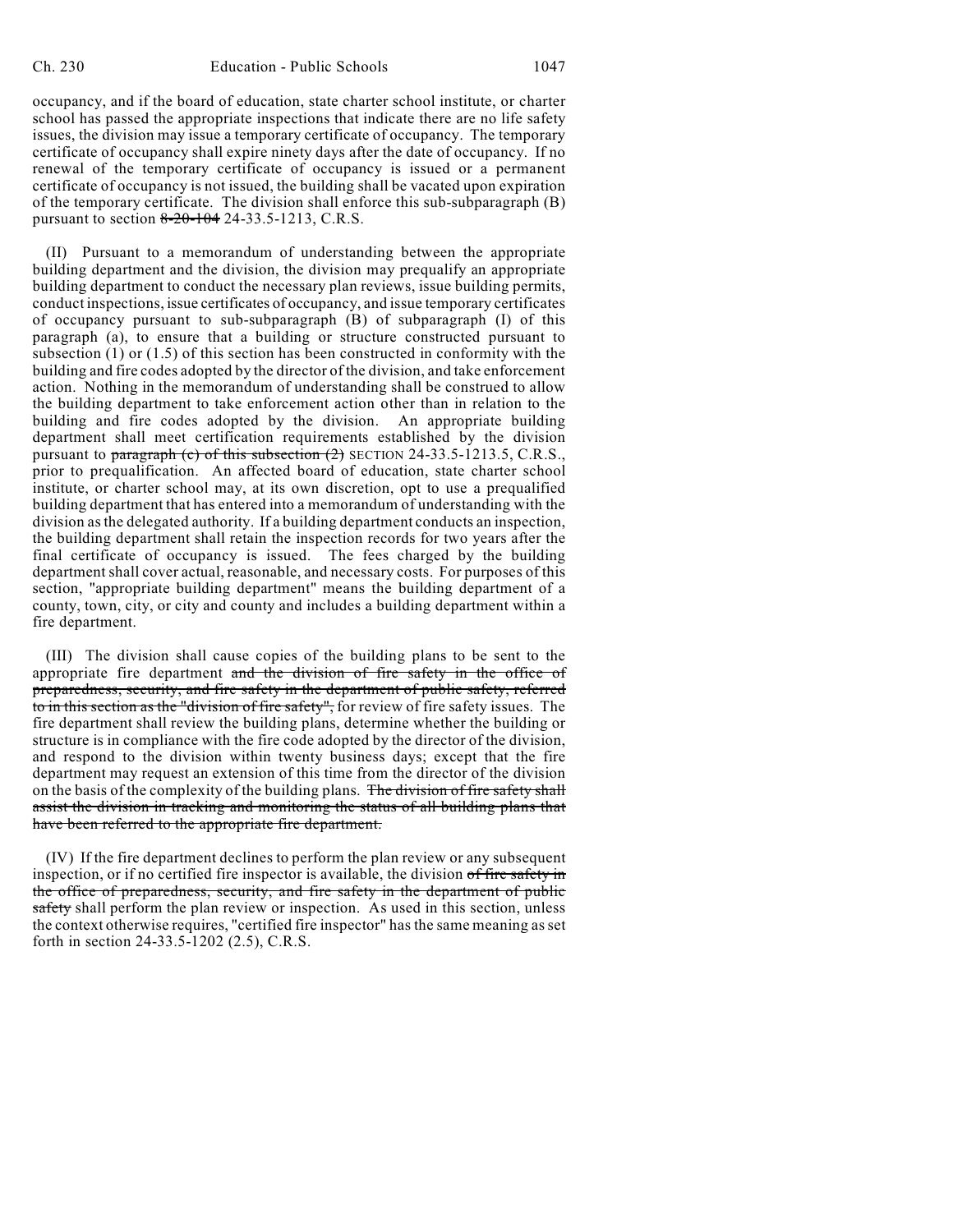occupancy, and if the board of education, state charter school institute, or charter school has passed the appropriate inspections that indicate there are no life safety issues, the division may issue a temporary certificate of occupancy. The temporary certificate of occupancy shall expire ninety days after the date of occupancy. If no renewal of the temporary certificate of occupancy is issued or a permanent certificate of occupancy is not issued, the building shall be vacated upon expiration of the temporary certificate. The division shall enforce this sub-subparagraph (B) pursuant to section 8-20-104 24-33.5-1213, C.R.S.

(II) Pursuant to a memorandum of understanding between the appropriate building department and the division, the division may prequalify an appropriate building department to conduct the necessary plan reviews, issue building permits, conduct inspections, issue certificates of occupancy, and issue temporary certificates of occupancy pursuant to sub-subparagraph (B) of subparagraph (I) of this paragraph (a), to ensure that a building or structure constructed pursuant to subsection (1) or (1.5) of this section has been constructed in conformity with the building and fire codes adopted by the director of the division, and take enforcement action. Nothing in the memorandum of understanding shall be construed to allow the building department to take enforcement action other than in relation to the building and fire codes adopted by the division. An appropriate building department shall meet certification requirements established by the division pursuant to paragraph (c) of this subsection (2) SECTION 24-33.5-1213.5, C.R.S., prior to prequalification. An affected board of education, state charter school institute, or charter school may, at its own discretion, opt to use a prequalified building department that has entered into a memorandum of understanding with the division as the delegated authority. If a building department conducts an inspection, the building department shall retain the inspection records for two years after the final certificate of occupancy is issued. The fees charged by the building department shall cover actual, reasonable, and necessary costs. For purposes of this section, "appropriate building department" means the building department of a county, town, city, or city and county and includes a building department within a fire department.

(III) The division shall cause copies of the building plans to be sent to the appropriate fire department and the division of fire safety in the office of preparedness, security, and fire safety in the department of public safety, referred to in this section as the "division of fire safety", for review of fire safety issues. The fire department shall review the building plans, determine whether the building or structure is in compliance with the fire code adopted by the director of the division, and respond to the division within twenty business days; except that the fire department may request an extension of this time from the director of the division on the basis of the complexity of the building plans. The division of fire safety shall assist the division in tracking and monitoring the status of all building plans that have been referred to the appropriate fire department.

(IV) If the fire department declines to perform the plan review or any subsequent inspection, or if no certified fire inspector is available, the division of fire safety in the office of preparedness, security, and fire safety in the department of public safety shall perform the plan review or inspection. As used in this section, unless the context otherwise requires, "certified fire inspector" has the same meaning as set forth in section 24-33.5-1202 (2.5), C.R.S.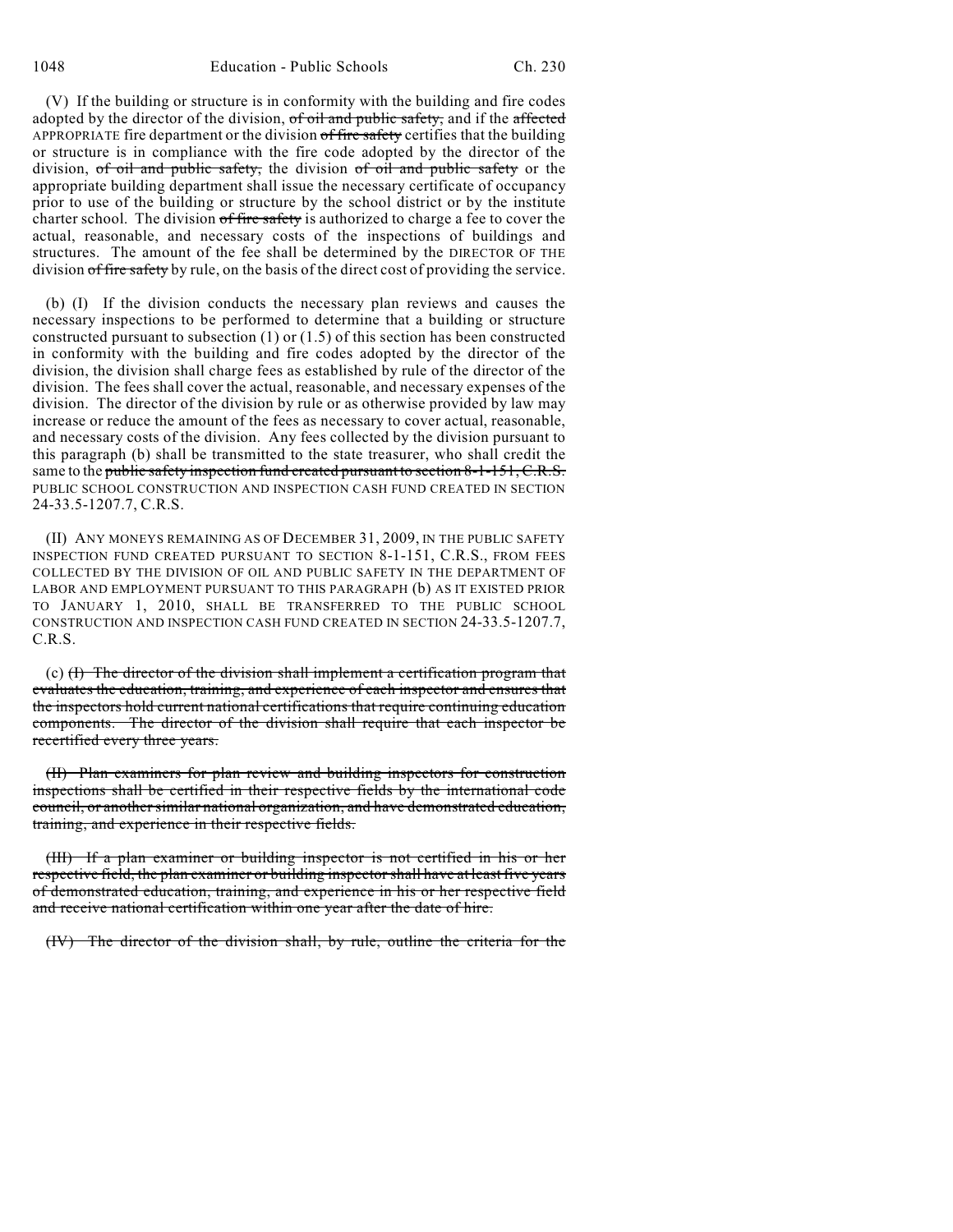(V) If the building or structure is in conformity with the building and fire codes adopted by the director of the division, of oil and public safety, and if the affected APPROPRIATE fire department or the division of fire safety certifies that the building or structure is in compliance with the fire code adopted by the director of the division, of oil and public safety, the division of oil and public safety or the appropriate building department shall issue the necessary certificate of occupancy prior to use of the building or structure by the school district or by the institute charter school. The division of fire safety is authorized to charge a fee to cover the actual, reasonable, and necessary costs of the inspections of buildings and structures. The amount of the fee shall be determined by the DIRECTOR OF THE division of fire safety by rule, on the basis of the direct cost of providing the service.

(b) (I) If the division conducts the necessary plan reviews and causes the necessary inspections to be performed to determine that a building or structure constructed pursuant to subsection (1) or (1.5) of this section has been constructed in conformity with the building and fire codes adopted by the director of the division, the division shall charge fees as established by rule of the director of the division. The fees shall cover the actual, reasonable, and necessary expenses of the division. The director of the division by rule or as otherwise provided by law may increase or reduce the amount of the fees as necessary to cover actual, reasonable, and necessary costs of the division. Any fees collected by the division pursuant to this paragraph (b) shall be transmitted to the state treasurer, who shall credit the same to the public safety inspection fund created pursuant to section 8-1-151, C.R.S. PUBLIC SCHOOL CONSTRUCTION AND INSPECTION CASH FUND CREATED IN SECTION 24-33.5-1207.7, C.R.S.

(II) ANY MONEYS REMAINING AS OF DECEMBER 31, 2009, IN THE PUBLIC SAFETY INSPECTION FUND CREATED PURSUANT TO SECTION 8-1-151, C.R.S., FROM FEES COLLECTED BY THE DIVISION OF OIL AND PUBLIC SAFETY IN THE DEPARTMENT OF LABOR AND EMPLOYMENT PURSUANT TO THIS PARAGRAPH (b) AS IT EXISTED PRIOR TO JANUARY 1, 2010, SHALL BE TRANSFERRED TO THE PUBLIC SCHOOL CONSTRUCTION AND INSPECTION CASH FUND CREATED IN SECTION 24-33.5-1207.7, C.R.S.

 $(c)$  (f) The director of the division shall implement a certification program that evaluates the education, training, and experience of each inspector and ensures that the inspectors hold current national certifications that require continuing education components. The director of the division shall require that each inspector be recertified every three years.

(II) Plan examiners for plan review and building inspectors for construction inspections shall be certified in their respective fields by the international code council, or another similar national organization, and have demonstrated education, training, and experience in their respective fields.

(III) If a plan examiner or building inspector is not certified in his or her respective field, the plan examiner or building inspector shall have at least five years of demonstrated education, training, and experience in his or her respective field and receive national certification within one year after the date of hire.

(IV) The director of the division shall, by rule, outline the criteria for the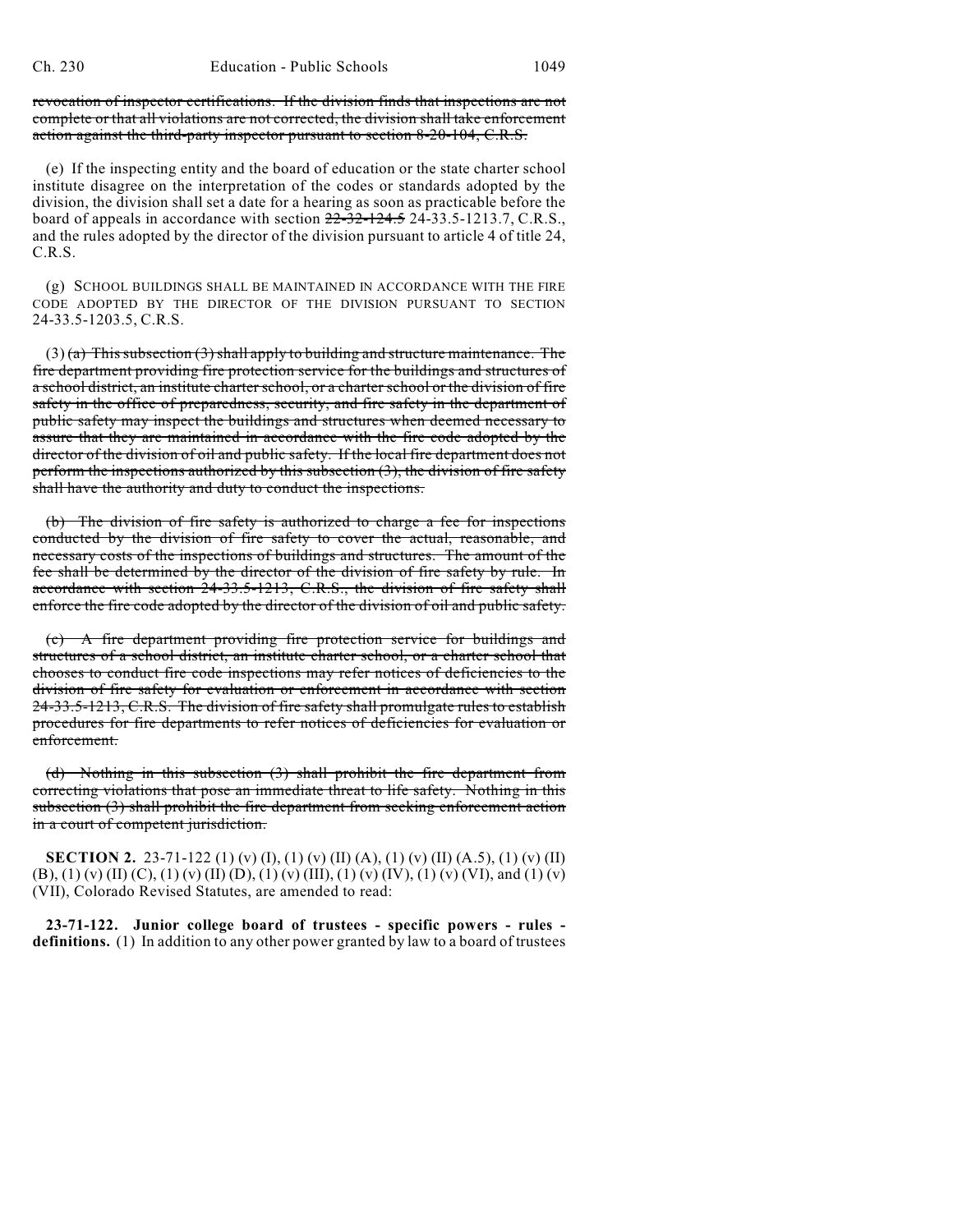revocation of inspector certifications. If the division finds that inspections are not complete or that all violations are not corrected, the division shall take enforcement action against the third-party inspector pursuant to section 8-20-104, C.R.S.

(e) If the inspecting entity and the board of education or the state charter school institute disagree on the interpretation of the codes or standards adopted by the division, the division shall set a date for a hearing as soon as practicable before the board of appeals in accordance with section  $22-32-124.5$  24-33.5-1213.7, C.R.S., and the rules adopted by the director of the division pursuant to article 4 of title 24, C.R.S.

(g) SCHOOL BUILDINGS SHALL BE MAINTAINED IN ACCORDANCE WITH THE FIRE CODE ADOPTED BY THE DIRECTOR OF THE DIVISION PURSUANT TO SECTION 24-33.5-1203.5, C.R.S.

 $(3)$  (a) This subsection (3) shall apply to building and structure maintenance. The fire department providing fire protection service for the buildings and structures of a school district, an institute charter school, or a charter school or the division of fire safety in the office of preparedness, security, and fire safety in the department of public safety may inspect the buildings and structures when deemed necessary to assure that they are maintained in accordance with the fire code adopted by the director of the division of oil and public safety. If the local fire department does not perform the inspections authorized by this subsection (3), the division of fire safety shall have the authority and duty to conduct the inspections.

(b) The division of fire safety is authorized to charge a fee for inspections conducted by the division of fire safety to cover the actual, reasonable, and necessary costs of the inspections of buildings and structures. The amount of the fee shall be determined by the director of the division of fire safety by rule. In accordance with section 24-33.5-1213, C.R.S., the division of fire safety shall enforce the fire code adopted by the director of the division of oil and public safety.

(c) A fire department providing fire protection service for buildings and structures of a school district, an institute charter school, or a charter school that chooses to conduct fire code inspections may refer notices of deficiencies to the division of fire safety for evaluation or enforcement in accordance with section 24-33.5-1213, C.R.S. The division of fire safety shall promulgate rules to establish procedures for fire departments to refer notices of deficiencies for evaluation or enforcement.

(d) Nothing in this subsection (3) shall prohibit the fire department from correcting violations that pose an immediate threat to life safety. Nothing in this subsection (3) shall prohibit the fire department from seeking enforcement action in a court of competent jurisdiction.

**SECTION 2.** 23-71-122 (1) (v) (I), (1) (v) (II) (A), (1) (v) (II) (A.5), (1) (v) (II) (B), (1) (v) (II) (C), (1) (v) (II) (D), (1) (v) (III), (1) (v) (IV), (1) (v) (VI), and (1) (v) (VII), Colorado Revised Statutes, are amended to read:

**23-71-122. Junior college board of trustees - specific powers - rules**  definitions. (1) In addition to any other power granted by law to a board of trustees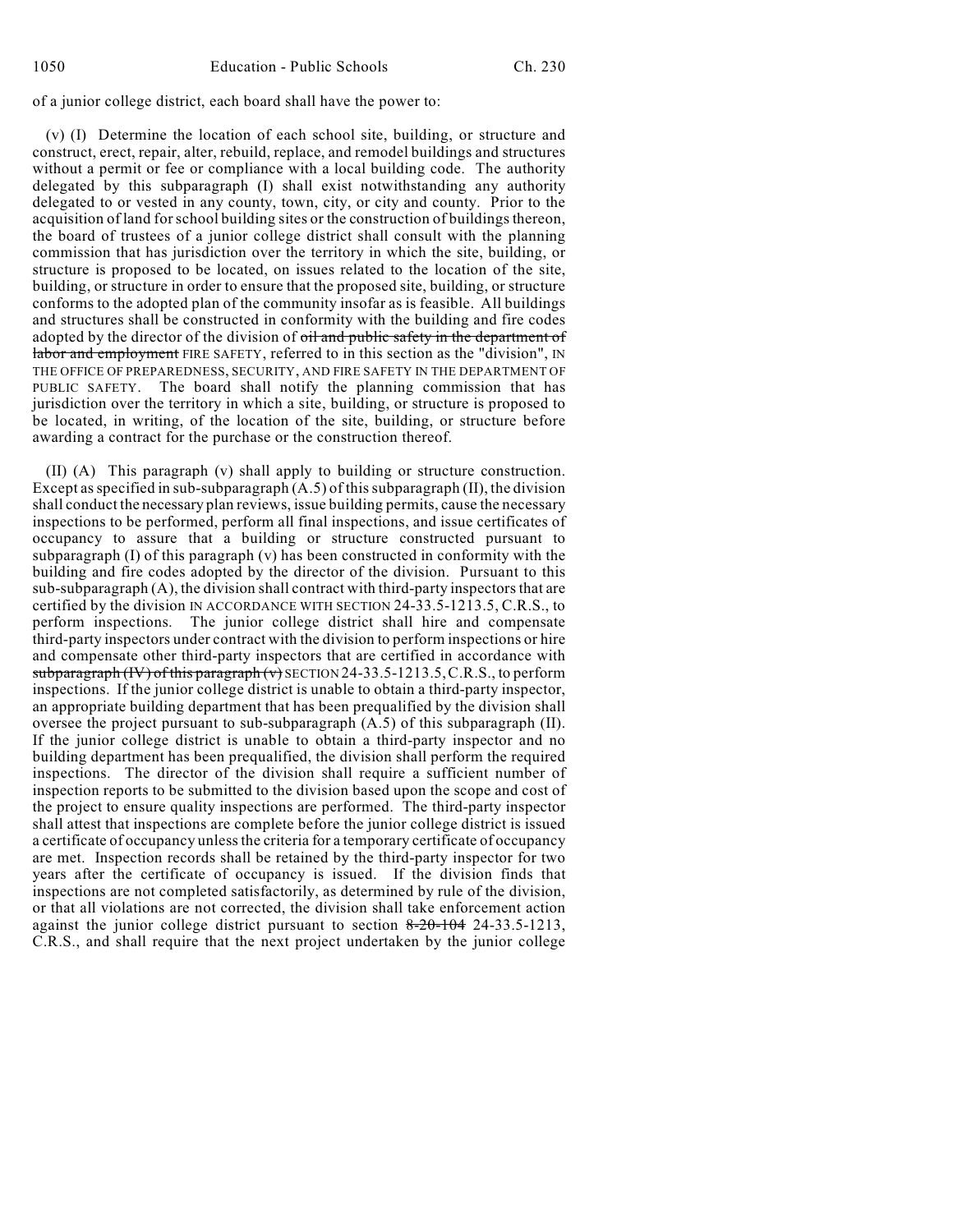of a junior college district, each board shall have the power to:

(v) (I) Determine the location of each school site, building, or structure and construct, erect, repair, alter, rebuild, replace, and remodel buildings and structures without a permit or fee or compliance with a local building code. The authority delegated by this subparagraph (I) shall exist notwithstanding any authority delegated to or vested in any county, town, city, or city and county. Prior to the acquisition of land for school building sites or the construction of buildings thereon, the board of trustees of a junior college district shall consult with the planning commission that has jurisdiction over the territory in which the site, building, or structure is proposed to be located, on issues related to the location of the site, building, or structure in order to ensure that the proposed site, building, or structure conforms to the adopted plan of the community insofar as is feasible. All buildings and structures shall be constructed in conformity with the building and fire codes adopted by the director of the division of oil and public safety in the department of labor and employment FIRE SAFETY, referred to in this section as the "division", IN THE OFFICE OF PREPAREDNESS, SECURITY, AND FIRE SAFETY IN THE DEPARTMENT OF PUBLIC SAFETY. The board shall notify the planning commission that has jurisdiction over the territory in which a site, building, or structure is proposed to be located, in writing, of the location of the site, building, or structure before awarding a contract for the purchase or the construction thereof.

(II) (A) This paragraph (v) shall apply to building or structure construction. Except as specified in sub-subparagraph (A.5) of this subparagraph (II), the division shall conduct the necessary plan reviews, issue building permits, cause the necessary inspections to be performed, perform all final inspections, and issue certificates of occupancy to assure that a building or structure constructed pursuant to subparagraph (I) of this paragraph (v) has been constructed in conformity with the building and fire codes adopted by the director of the division. Pursuant to this sub-subparagraph (A), the division shall contract with third-party inspectors that are certified by the division IN ACCORDANCE WITH SECTION 24-33.5-1213.5, C.R.S., to perform inspections. The junior college district shall hire and compensate third-party inspectors under contract with the division to perform inspections or hire and compensate other third-party inspectors that are certified in accordance with subparagraph (IV) of this paragraph  $(v)$  SECTION 24-33.5-1213.5, C.R.S., to perform inspections. If the junior college district is unable to obtain a third-party inspector, an appropriate building department that has been prequalified by the division shall oversee the project pursuant to sub-subparagraph (A.5) of this subparagraph (II). If the junior college district is unable to obtain a third-party inspector and no building department has been prequalified, the division shall perform the required inspections. The director of the division shall require a sufficient number of inspection reports to be submitted to the division based upon the scope and cost of the project to ensure quality inspections are performed. The third-party inspector shall attest that inspections are complete before the junior college district is issued a certificate of occupancy unless the criteria for a temporary certificate of occupancy are met. Inspection records shall be retained by the third-party inspector for two years after the certificate of occupancy is issued. If the division finds that inspections are not completed satisfactorily, as determined by rule of the division, or that all violations are not corrected, the division shall take enforcement action against the junior college district pursuant to section 8-20-104 24-33.5-1213, C.R.S., and shall require that the next project undertaken by the junior college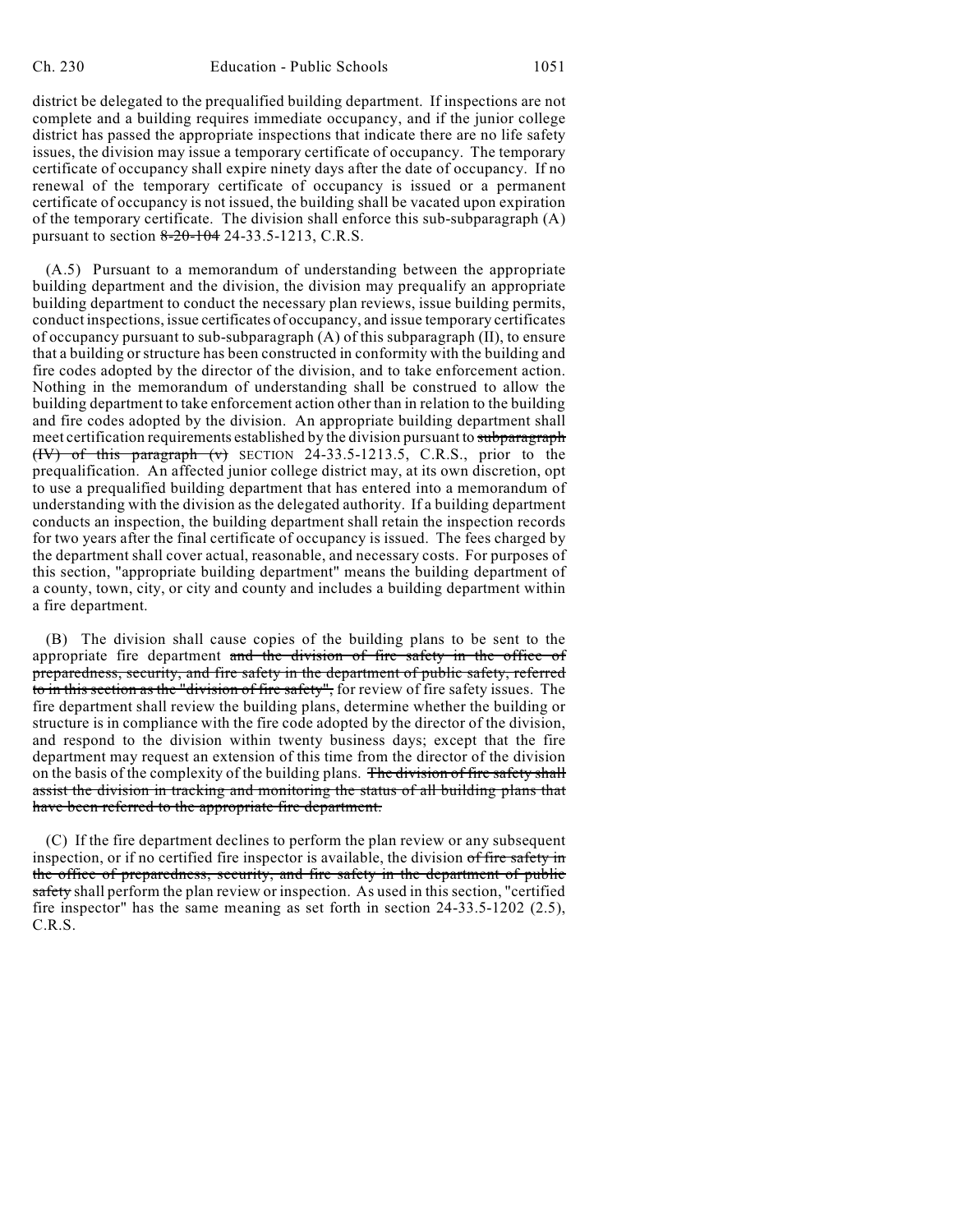district be delegated to the prequalified building department. If inspections are not complete and a building requires immediate occupancy, and if the junior college district has passed the appropriate inspections that indicate there are no life safety issues, the division may issue a temporary certificate of occupancy. The temporary certificate of occupancy shall expire ninety days after the date of occupancy. If no renewal of the temporary certificate of occupancy is issued or a permanent certificate of occupancy is not issued, the building shall be vacated upon expiration of the temporary certificate. The division shall enforce this sub-subparagraph  $(A)$ pursuant to section  $8-20-104$  24-33.5-1213, C.R.S.

(A.5) Pursuant to a memorandum of understanding between the appropriate building department and the division, the division may prequalify an appropriate building department to conduct the necessary plan reviews, issue building permits, conduct inspections, issue certificates of occupancy, and issue temporary certificates of occupancy pursuant to sub-subparagraph (A) of this subparagraph (II), to ensure that a building orstructure has been constructed in conformity with the building and fire codes adopted by the director of the division, and to take enforcement action. Nothing in the memorandum of understanding shall be construed to allow the building department to take enforcement action other than in relation to the building and fire codes adopted by the division. An appropriate building department shall meet certification requirements established by the division pursuant to subparagraph  $(W)$  of this paragraph  $(v)$  SECTION 24-33.5-1213.5, C.R.S., prior to the prequalification. An affected junior college district may, at its own discretion, opt to use a prequalified building department that has entered into a memorandum of understanding with the division as the delegated authority. If a building department conducts an inspection, the building department shall retain the inspection records for two years after the final certificate of occupancy is issued. The fees charged by the department shall cover actual, reasonable, and necessary costs. For purposes of this section, "appropriate building department" means the building department of a county, town, city, or city and county and includes a building department within a fire department.

(B) The division shall cause copies of the building plans to be sent to the appropriate fire department and the division of fire safety in the office of preparedness, security, and fire safety in the department of public safety, referred to in this section as the "division of fire safety", for review of fire safety issues. The fire department shall review the building plans, determine whether the building or structure is in compliance with the fire code adopted by the director of the division, and respond to the division within twenty business days; except that the fire department may request an extension of this time from the director of the division on the basis of the complexity of the building plans. The division of fire safety shall assist the division in tracking and monitoring the status of all building plans that have been referred to the appropriate fire department.

(C) If the fire department declines to perform the plan review or any subsequent inspection, or if no certified fire inspector is available, the division of fire safety in the office of preparedness, security, and fire safety in the department of public safety shall perform the plan review or inspection. As used in this section, "certified fire inspector" has the same meaning as set forth in section 24-33.5-1202 (2.5), C.R.S.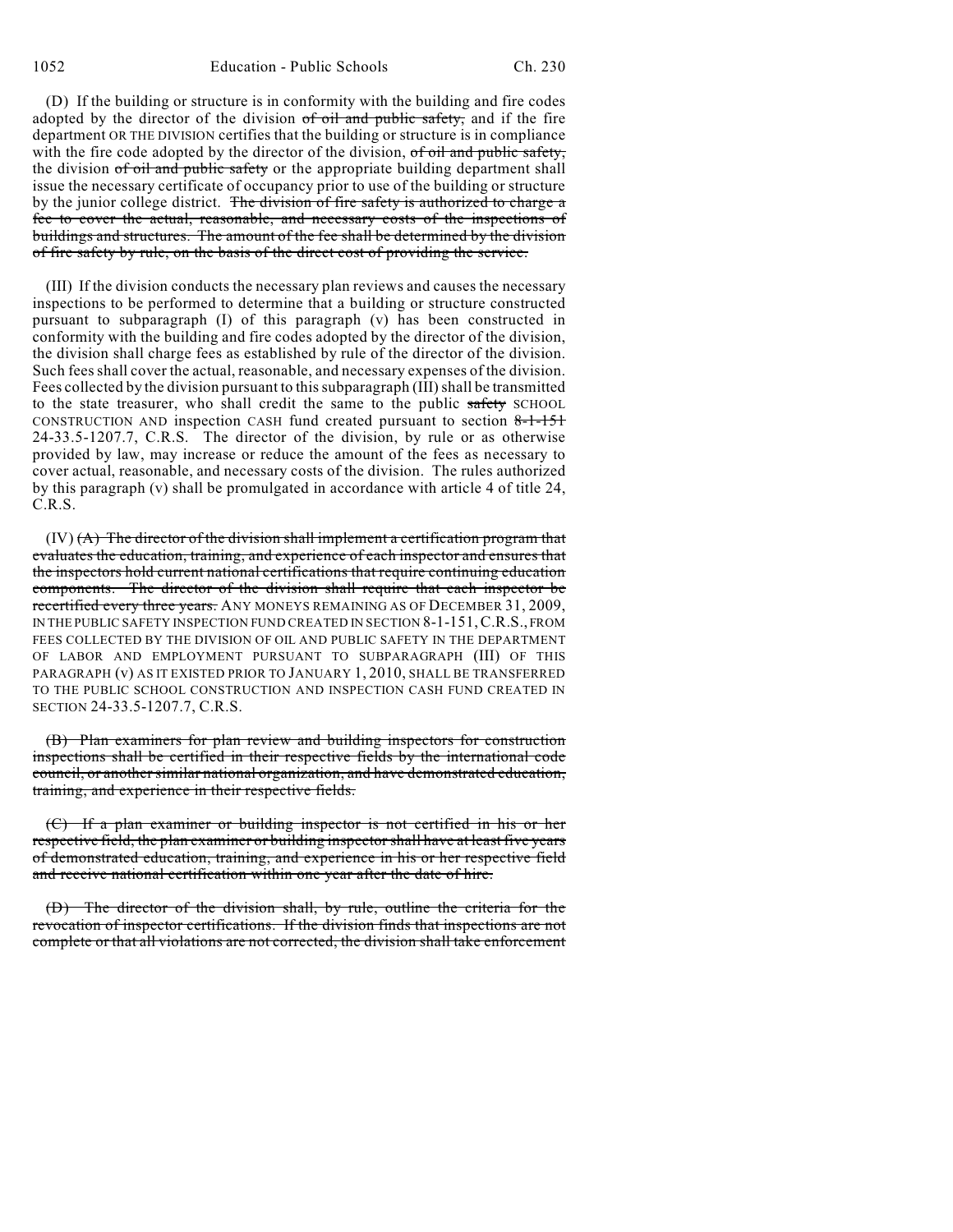(D) If the building or structure is in conformity with the building and fire codes adopted by the director of the division of oil and public safety, and if the fire department OR THE DIVISION certifies that the building or structure is in compliance with the fire code adopted by the director of the division, of oil and public safety, the division of oil and public safety or the appropriate building department shall issue the necessary certificate of occupancy prior to use of the building or structure by the junior college district. The division of fire safety is authorized to charge a fee to cover the actual, reasonable, and necessary costs of the inspections of buildings and structures. The amount of the fee shall be determined by the division of fire safety by rule, on the basis of the direct cost of providing the service.

(III) If the division conducts the necessary plan reviews and causes the necessary inspections to be performed to determine that a building or structure constructed pursuant to subparagraph (I) of this paragraph (v) has been constructed in conformity with the building and fire codes adopted by the director of the division, the division shall charge fees as established by rule of the director of the division. Such feesshall cover the actual, reasonable, and necessary expenses of the division. Fees collected by the division pursuant to this subparagraph (III) shall be transmitted to the state treasurer, who shall credit the same to the public safety SCHOOL CONSTRUCTION AND inspection CASH fund created pursuant to section  $8-1-151$ 24-33.5-1207.7, C.R.S. The director of the division, by rule or as otherwise provided by law, may increase or reduce the amount of the fees as necessary to cover actual, reasonable, and necessary costs of the division. The rules authorized by this paragraph (v) shall be promulgated in accordance with article 4 of title 24, C.R.S.

 $(IV)$   $(A)$  The director of the division shall implement a certification program that evaluates the education, training, and experience of each inspector and ensures that the inspectors hold current national certifications that require continuing education components. The director of the division shall require that each inspector be recertified every three years. ANY MONEYS REMAINING AS OF DECEMBER 31, 2009, IN THE PUBLIC SAFETY INSPECTION FUND CREATED IN SECTION 8-1-151,C.R.S., FROM FEES COLLECTED BY THE DIVISION OF OIL AND PUBLIC SAFETY IN THE DEPARTMENT OF LABOR AND EMPLOYMENT PURSUANT TO SUBPARAGRAPH (III) OF THIS PARAGRAPH (v) AS IT EXISTED PRIOR TO JANUARY 1, 2010, SHALL BE TRANSFERRED TO THE PUBLIC SCHOOL CONSTRUCTION AND INSPECTION CASH FUND CREATED IN SECTION 24-33.5-1207.7, C.R.S.

(B) Plan examiners for plan review and building inspectors for construction inspections shall be certified in their respective fields by the international code council, or another similar national organization, and have demonstrated education, training, and experience in their respective fields.

(C) If a plan examiner or building inspector is not certified in his or her respective field, the plan examiner or building inspector shall have at least five years of demonstrated education, training, and experience in his or her respective field and receive national certification within one year after the date of hire.

(D) The director of the division shall, by rule, outline the criteria for the revocation of inspector certifications. If the division finds that inspections are not complete or that all violations are not corrected, the division shall take enforcement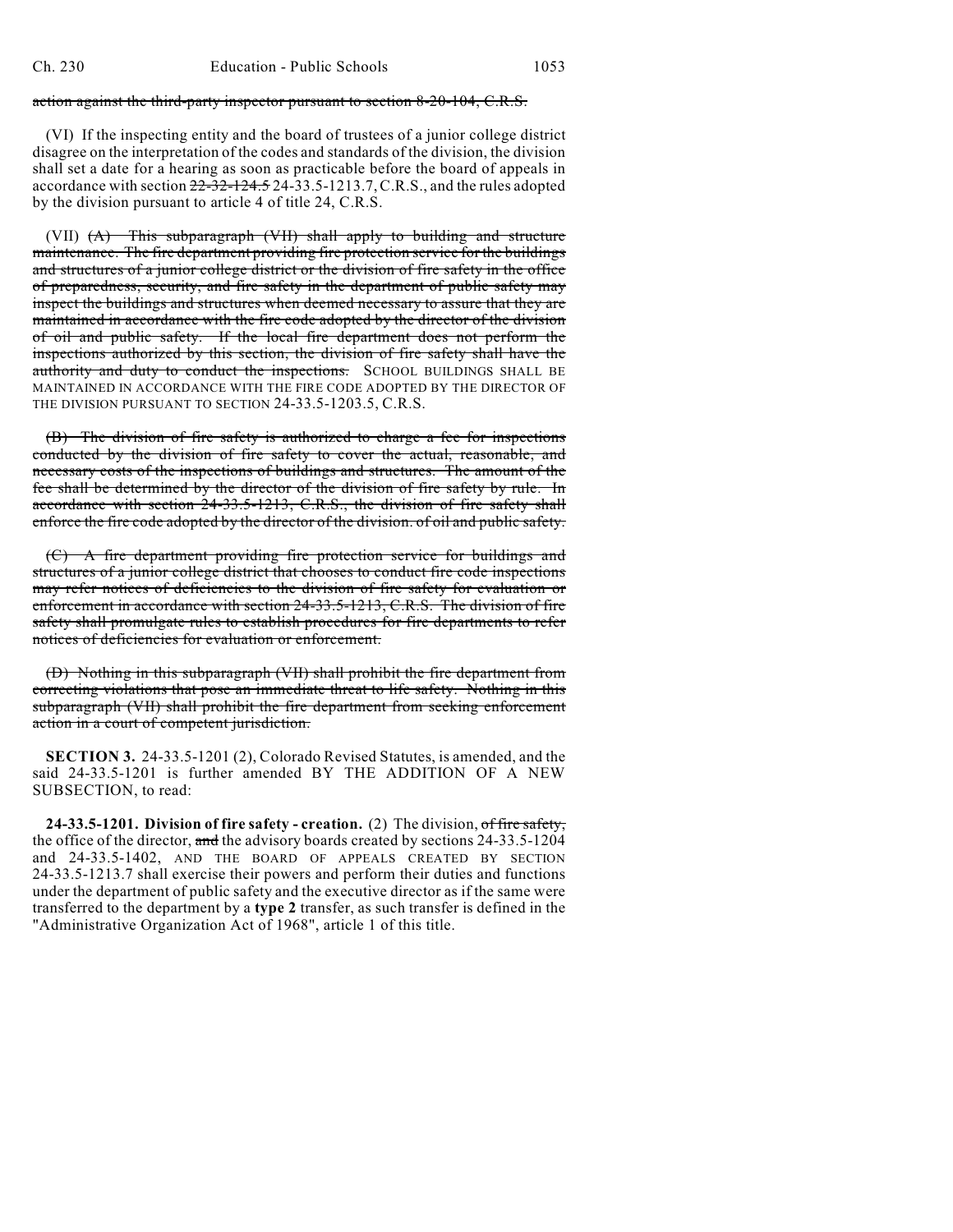## action against the third-party inspector pursuant to section 8-20-104, C.R.S.

(VI) If the inspecting entity and the board of trustees of a junior college district disagree on the interpretation of the codes and standards of the division, the division shall set a date for a hearing as soon as practicable before the board of appeals in accordance with section  $22-32-124.5$  24-33.5-1213.7, C.R.S., and the rules adopted by the division pursuant to article 4 of title 24, C.R.S.

(VII)  $(A)$  This subparagraph (VII) shall apply to building and structure maintenance. The fire department providing fire protection service for the buildings and structures of a junior college district or the division of fire safety in the office of preparedness, security, and fire safety in the department of public safety may inspect the buildings and structures when deemed necessary to assure that they are maintained in accordance with the fire code adopted by the director of the division of oil and public safety. If the local fire department does not perform the inspections authorized by this section, the division of fire safety shall have the authority and duty to conduct the inspections. SCHOOL BUILDINGS SHALL BE MAINTAINED IN ACCORDANCE WITH THE FIRE CODE ADOPTED BY THE DIRECTOR OF THE DIVISION PURSUANT TO SECTION 24-33.5-1203.5, C.R.S.

(B) The division of fire safety is authorized to charge a fee for inspections conducted by the division of fire safety to cover the actual, reasonable, and necessary costs of the inspections of buildings and structures. The amount of the fee shall be determined by the director of the division of fire safety by rule. In accordance with section 24-33.5-1213, C.R.S., the division of fire safety shall enforce the fire code adopted by the director of the division. of oil and public safety.

(C) A fire department providing fire protection service for buildings and structures of a junior college district that chooses to conduct fire code inspections may refer notices of deficiencies to the division of fire safety for evaluation or enforcement in accordance with section 24-33.5-1213, C.R.S. The division of fire safety shall promulgate rules to establish procedures for fire departments to refer notices of deficiencies for evaluation or enforcement.

(D) Nothing in this subparagraph (VII) shall prohibit the fire department from correcting violations that pose an immediate threat to life safety. Nothing in this subparagraph (VII) shall prohibit the fire department from seeking enforcement action in a court of competent jurisdiction.

**SECTION 3.** 24-33.5-1201 (2), Colorado Revised Statutes, is amended, and the said 24-33.5-1201 is further amended BY THE ADDITION OF A NEW SUBSECTION, to read:

**24-33.5-1201. Division of fire safety - creation.** (2) The division, of fire safety, the office of the director, and the advisory boards created by sections 24-33.5-1204 and 24-33.5-1402, AND THE BOARD OF APPEALS CREATED BY SECTION 24-33.5-1213.7 shall exercise their powers and perform their duties and functions under the department of public safety and the executive director as if the same were transferred to the department by a **type 2** transfer, as such transfer is defined in the "Administrative Organization Act of 1968", article 1 of this title.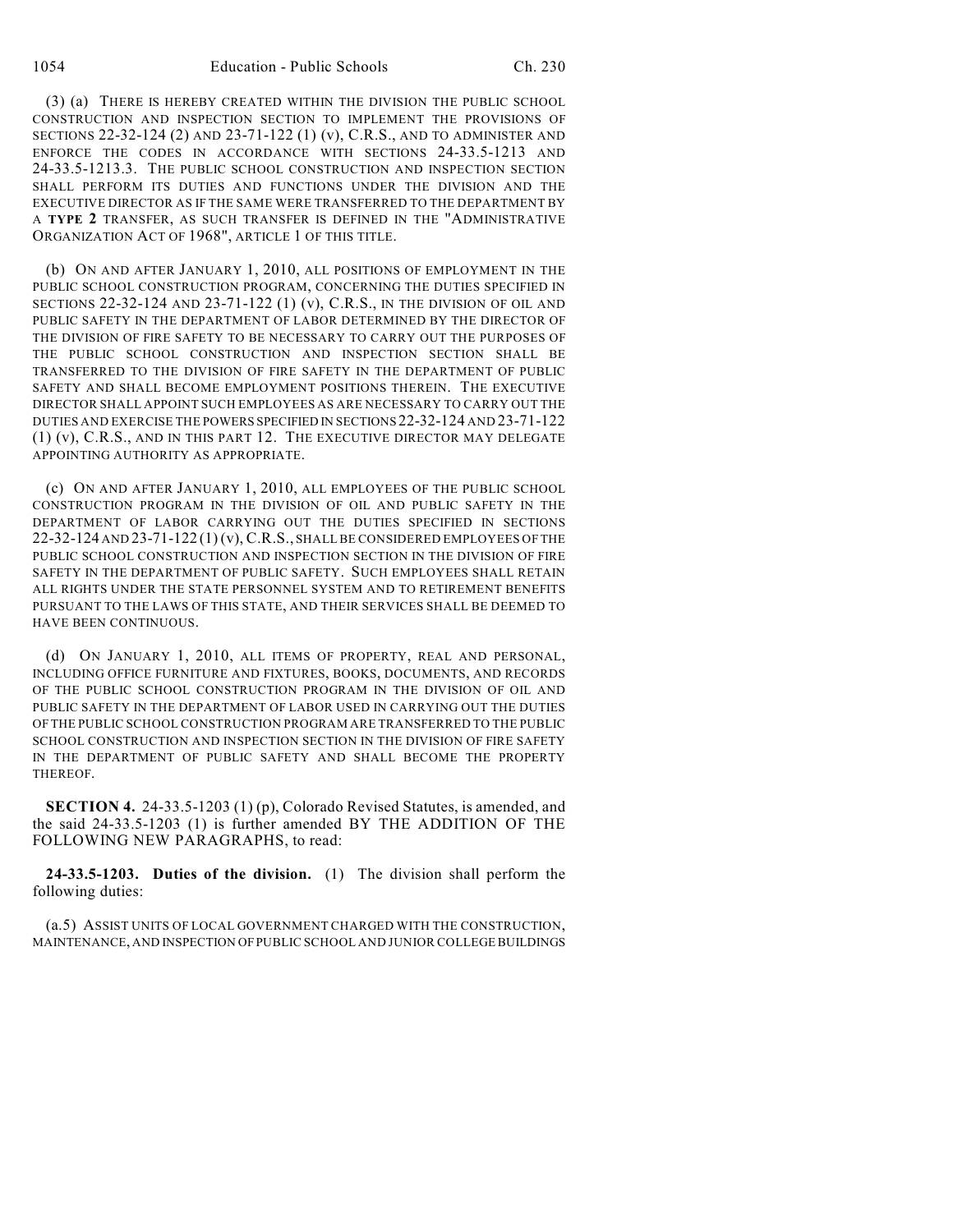(3) (a) THERE IS HEREBY CREATED WITHIN THE DIVISION THE PUBLIC SCHOOL CONSTRUCTION AND INSPECTION SECTION TO IMPLEMENT THE PROVISIONS OF SECTIONS 22-32-124 (2) AND 23-71-122 (1) (v), C.R.S., AND TO ADMINISTER AND ENFORCE THE CODES IN ACCORDANCE WITH SECTIONS 24-33.5-1213 AND 24-33.5-1213.3. THE PUBLIC SCHOOL CONSTRUCTION AND INSPECTION SECTION SHALL PERFORM ITS DUTIES AND FUNCTIONS UNDER THE DIVISION AND THE EXECUTIVE DIRECTOR AS IF THE SAME WERE TRANSFERRED TO THE DEPARTMENT BY A **TYPE 2** TRANSFER, AS SUCH TRANSFER IS DEFINED IN THE "ADMINISTRATIVE ORGANIZATION ACT OF 1968", ARTICLE 1 OF THIS TITLE.

(b) ON AND AFTER JANUARY 1, 2010, ALL POSITIONS OF EMPLOYMENT IN THE PUBLIC SCHOOL CONSTRUCTION PROGRAM, CONCERNING THE DUTIES SPECIFIED IN SECTIONS  $22-32-124$  AND  $23-71-122$  (1) (v), C.R.S., IN THE DIVISION OF OIL AND PUBLIC SAFETY IN THE DEPARTMENT OF LABOR DETERMINED BY THE DIRECTOR OF THE DIVISION OF FIRE SAFETY TO BE NECESSARY TO CARRY OUT THE PURPOSES OF THE PUBLIC SCHOOL CONSTRUCTION AND INSPECTION SECTION SHALL BE TRANSFERRED TO THE DIVISION OF FIRE SAFETY IN THE DEPARTMENT OF PUBLIC SAFETY AND SHALL BECOME EMPLOYMENT POSITIONS THEREIN. THE EXECUTIVE DIRECTOR SHALL APPOINT SUCH EMPLOYEES AS ARE NECESSARY TO CARRY OUT THE DUTIES AND EXERCISE THE POWERS SPECIFIED IN SECTIONS 22-32-124 AND 23-71-122 (1) (v), C.R.S., AND IN THIS PART 12. THE EXECUTIVE DIRECTOR MAY DELEGATE APPOINTING AUTHORITY AS APPROPRIATE.

(c) ON AND AFTER JANUARY 1, 2010, ALL EMPLOYEES OF THE PUBLIC SCHOOL CONSTRUCTION PROGRAM IN THE DIVISION OF OIL AND PUBLIC SAFETY IN THE DEPARTMENT OF LABOR CARRYING OUT THE DUTIES SPECIFIED IN SECTIONS 22-32-124 AND 23-71-122 (1) (v), C.R.S., SHALL BE CONSIDERED EMPLOYEES OF THE PUBLIC SCHOOL CONSTRUCTION AND INSPECTION SECTION IN THE DIVISION OF FIRE SAFETY IN THE DEPARTMENT OF PUBLIC SAFETY. SUCH EMPLOYEES SHALL RETAIN ALL RIGHTS UNDER THE STATE PERSONNEL SYSTEM AND TO RETIREMENT BENEFITS PURSUANT TO THE LAWS OF THIS STATE, AND THEIR SERVICES SHALL BE DEEMED TO HAVE BEEN CONTINUOUS.

(d) ON JANUARY 1, 2010, ALL ITEMS OF PROPERTY, REAL AND PERSONAL, INCLUDING OFFICE FURNITURE AND FIXTURES, BOOKS, DOCUMENTS, AND RECORDS OF THE PUBLIC SCHOOL CONSTRUCTION PROGRAM IN THE DIVISION OF OIL AND PUBLIC SAFETY IN THE DEPARTMENT OF LABOR USED IN CARRYING OUT THE DUTIES OF THE PUBLIC SCHOOL CONSTRUCTION PROGRAM ARE TRANSFERRED TO THE PUBLIC SCHOOL CONSTRUCTION AND INSPECTION SECTION IN THE DIVISION OF FIRE SAFETY IN THE DEPARTMENT OF PUBLIC SAFETY AND SHALL BECOME THE PROPERTY THEREOF.

**SECTION 4.** 24-33.5-1203 (1) (p), Colorado Revised Statutes, is amended, and the said 24-33.5-1203 (1) is further amended BY THE ADDITION OF THE FOLLOWING NEW PARAGRAPHS, to read:

**24-33.5-1203. Duties of the division.** (1) The division shall perform the following duties:

(a.5) ASSIST UNITS OF LOCAL GOVERNMENT CHARGED WITH THE CONSTRUCTION, MAINTENANCE, AND INSPECTION OF PUBLIC SCHOOL AND JUNIOR COLLEGE BUILDINGS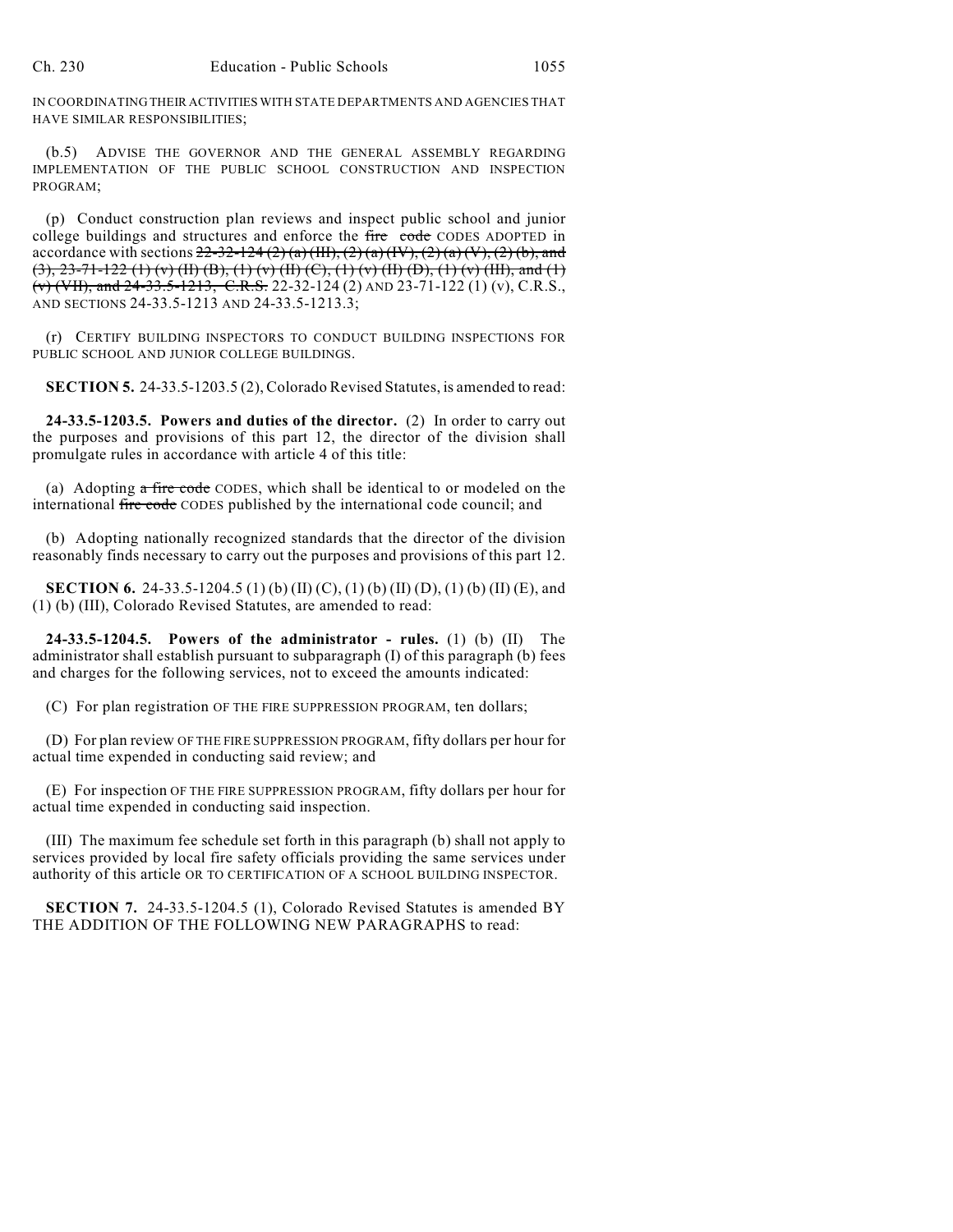IN COORDINATING THEIR ACTIVITIES WITH STATE DEPARTMENTS AND AGENCIES THAT HAVE SIMILAR RESPONSIBILITIES;

(b.5) ADVISE THE GOVERNOR AND THE GENERAL ASSEMBLY REGARDING IMPLEMENTATION OF THE PUBLIC SCHOOL CONSTRUCTION AND INSPECTION PROGRAM;

(p) Conduct construction plan reviews and inspect public school and junior college buildings and structures and enforce the fire code CODES ADOPTED in accordance with sections  $22-32-124(2)(a)(III)$ ,  $(2)(a)(IV)$ ,  $(2)(a)(V)$ ,  $(2)(b)$ , and  $(3)$ , 23-71-122 (1) (v) (II) (B), (1) (v) (II) (C), (1) (v) (II) (D), (1) (v) (III), and (1)  $(v)$  (VII), and 24-33.5-1213, C.R.S. 22-32-124 (2) AND 23-71-122 (1) (v), C.R.S., AND SECTIONS 24-33.5-1213 AND 24-33.5-1213.3;

(r) CERTIFY BUILDING INSPECTORS TO CONDUCT BUILDING INSPECTIONS FOR PUBLIC SCHOOL AND JUNIOR COLLEGE BUILDINGS.

**SECTION 5.** 24-33.5-1203.5 (2), Colorado Revised Statutes, is amended to read:

**24-33.5-1203.5. Powers and duties of the director.** (2) In order to carry out the purposes and provisions of this part 12, the director of the division shall promulgate rules in accordance with article 4 of this title:

(a) Adopting  $\alpha$  fire code CODES, which shall be identical to or modeled on the international fire code CODES published by the international code council; and

(b) Adopting nationally recognized standards that the director of the division reasonably finds necessary to carry out the purposes and provisions of this part 12.

**SECTION 6.** 24-33.5-1204.5 (1) (b) (II) (C), (1) (b) (II) (D), (1) (b) (II) (E), and (1) (b) (III), Colorado Revised Statutes, are amended to read:

**24-33.5-1204.5. Powers of the administrator - rules.** (1) (b) (II) The administrator shall establish pursuant to subparagraph (I) of this paragraph (b) fees and charges for the following services, not to exceed the amounts indicated:

(C) For plan registration OF THE FIRE SUPPRESSION PROGRAM, ten dollars;

(D) For plan review OF THE FIRE SUPPRESSION PROGRAM, fifty dollars per hour for actual time expended in conducting said review; and

(E) For inspection OF THE FIRE SUPPRESSION PROGRAM, fifty dollars per hour for actual time expended in conducting said inspection.

(III) The maximum fee schedule set forth in this paragraph (b) shall not apply to services provided by local fire safety officials providing the same services under authority of this article OR TO CERTIFICATION OF A SCHOOL BUILDING INSPECTOR.

**SECTION 7.** 24-33.5-1204.5 (1), Colorado Revised Statutes is amended BY THE ADDITION OF THE FOLLOWING NEW PARAGRAPHS to read: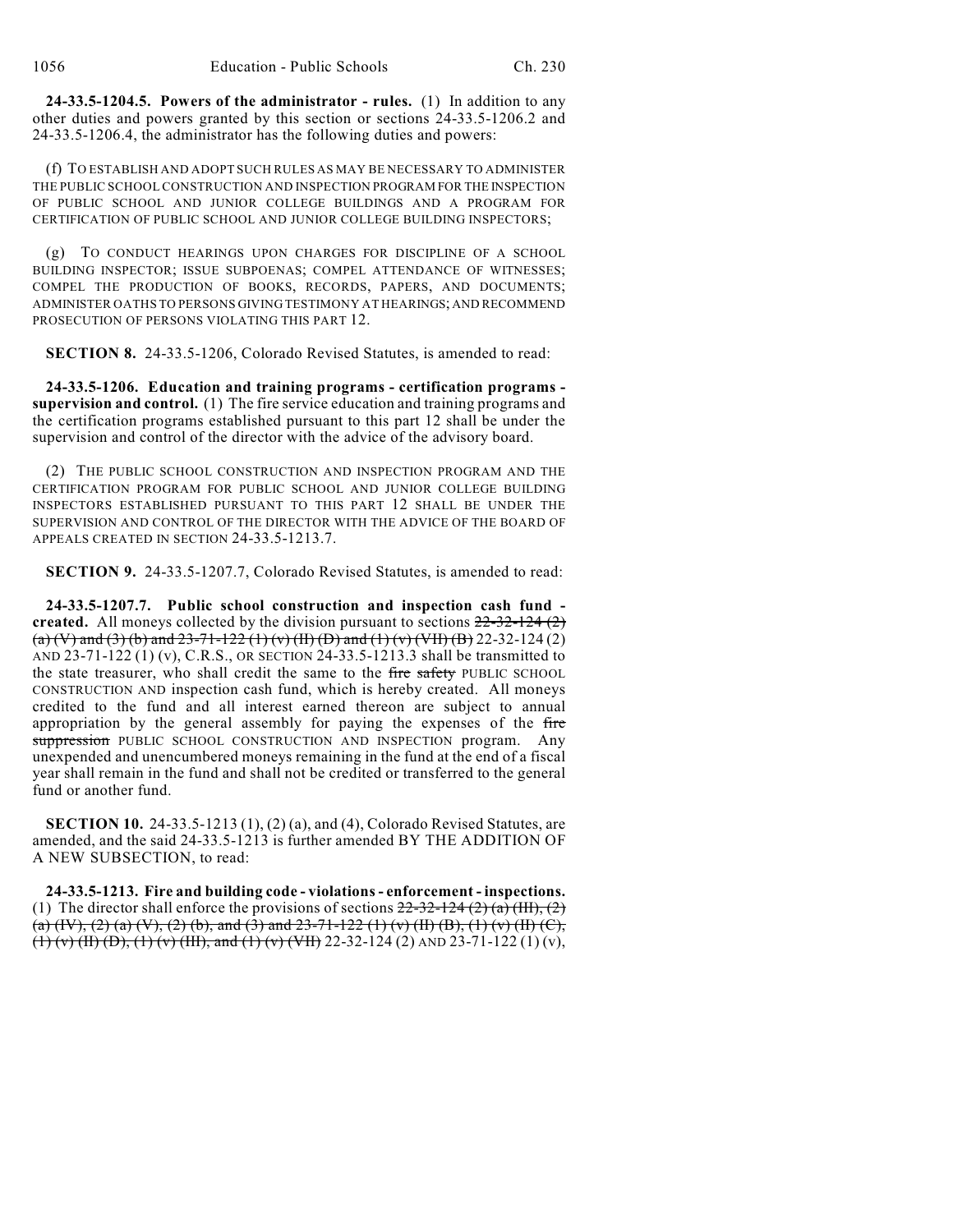**24-33.5-1204.5. Powers of the administrator - rules.** (1) In addition to any other duties and powers granted by this section or sections 24-33.5-1206.2 and 24-33.5-1206.4, the administrator has the following duties and powers:

(f) TO ESTABLISH AND ADOPT SUCH RULES AS MAY BE NECESSARY TO ADMINISTER THE PUBLIC SCHOOL CONSTRUCTION AND INSPECTION PROGRAM FOR THE INSPECTION OF PUBLIC SCHOOL AND JUNIOR COLLEGE BUILDINGS AND A PROGRAM FOR CERTIFICATION OF PUBLIC SCHOOL AND JUNIOR COLLEGE BUILDING INSPECTORS;

(g) TO CONDUCT HEARINGS UPON CHARGES FOR DISCIPLINE OF A SCHOOL BUILDING INSPECTOR; ISSUE SUBPOENAS; COMPEL ATTENDANCE OF WITNESSES; COMPEL THE PRODUCTION OF BOOKS, RECORDS, PAPERS, AND DOCUMENTS; ADMINISTER OATHS TO PERSONS GIVING TESTIMONY AT HEARINGS; AND RECOMMEND PROSECUTION OF PERSONS VIOLATING THIS PART 12.

**SECTION 8.** 24-33.5-1206, Colorado Revised Statutes, is amended to read:

**24-33.5-1206. Education and training programs - certification programs supervision and control.** (1) The fire service education and training programs and the certification programs established pursuant to this part 12 shall be under the supervision and control of the director with the advice of the advisory board.

(2) THE PUBLIC SCHOOL CONSTRUCTION AND INSPECTION PROGRAM AND THE CERTIFICATION PROGRAM FOR PUBLIC SCHOOL AND JUNIOR COLLEGE BUILDING INSPECTORS ESTABLISHED PURSUANT TO THIS PART 12 SHALL BE UNDER THE SUPERVISION AND CONTROL OF THE DIRECTOR WITH THE ADVICE OF THE BOARD OF APPEALS CREATED IN SECTION 24-33.5-1213.7.

**SECTION 9.** 24-33.5-1207.7, Colorado Revised Statutes, is amended to read:

**24-33.5-1207.7. Public school construction and inspection cash fund created.** All moneys collected by the division pursuant to sections  $22-32-124$  (2) (a) (V) and (3) (b) and 23-71-122 (1) (v) (II) (D) and (1) (v) (VII) (B) 22-32-124 (2) AND 23-71-122 (1) (v), C.R.S., OR SECTION 24-33.5-1213.3 shall be transmitted to the state treasurer, who shall credit the same to the fire safety PUBLIC SCHOOL CONSTRUCTION AND inspection cash fund, which is hereby created. All moneys credited to the fund and all interest earned thereon are subject to annual appropriation by the general assembly for paying the expenses of the fire suppression PUBLIC SCHOOL CONSTRUCTION AND INSPECTION program. Any unexpended and unencumbered moneys remaining in the fund at the end of a fiscal year shall remain in the fund and shall not be credited or transferred to the general fund or another fund.

**SECTION 10.** 24-33.5-1213 (1), (2) (a), and (4), Colorado Revised Statutes, are amended, and the said 24-33.5-1213 is further amended BY THE ADDITION OF A NEW SUBSECTION, to read:

**24-33.5-1213. Fire and building code - violations - enforcement - inspections.** (1) The director shall enforce the provisions of sections  $22-32-124$  (2) (a) (III), (2) (a) (IV), (2) (a) (V), (2) (b), and (3) and 23-71-122 (1) (v) (II) (B), (1) (v) (II) (C), (1) (v) (II) (D), (1) (v) (III), and (1) (v) (VII) 22-32-124 (2) AND 23-71-122 (1) (v),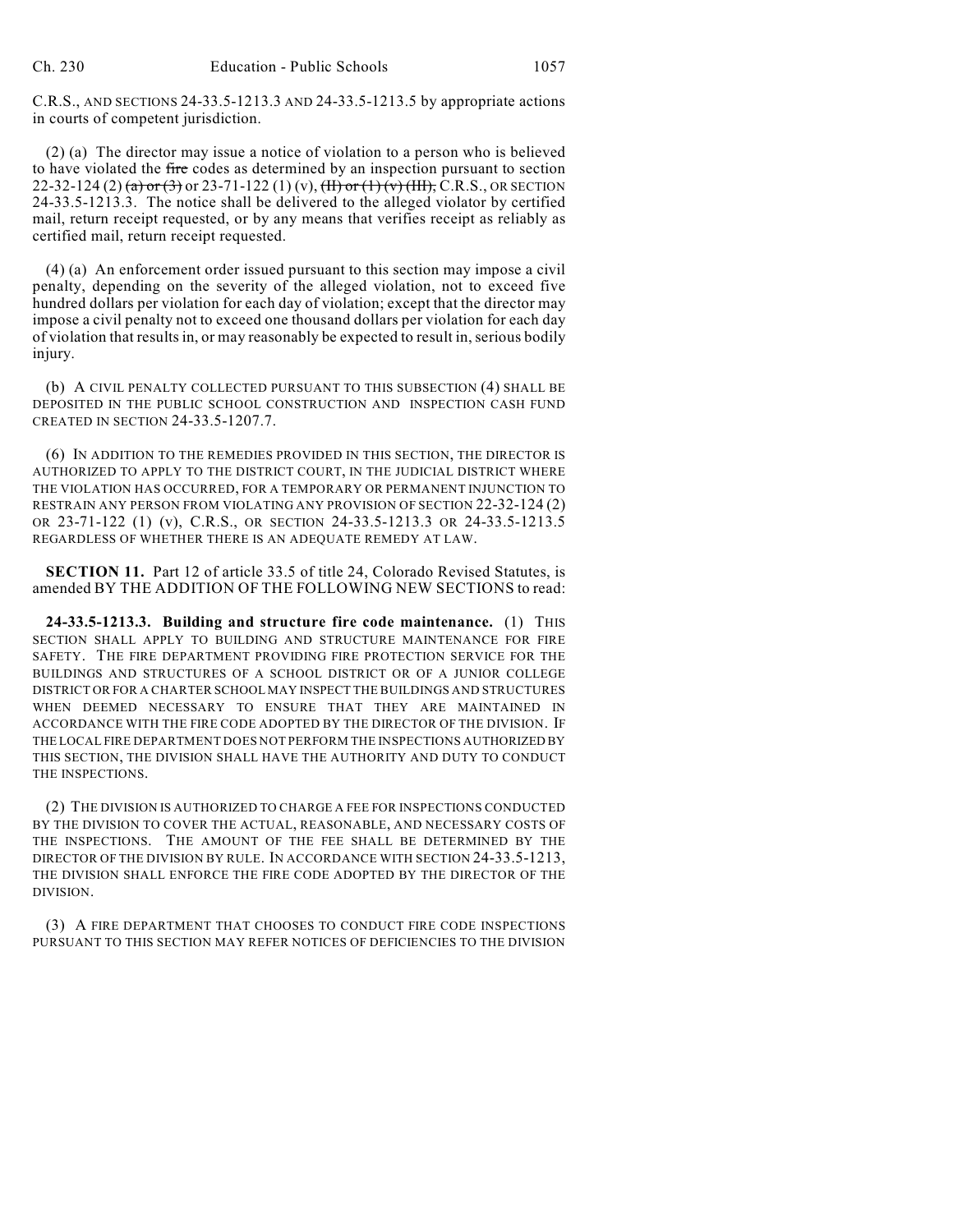C.R.S., AND SECTIONS 24-33.5-1213.3 AND 24-33.5-1213.5 by appropriate actions in courts of competent jurisdiction.

(2) (a) The director may issue a notice of violation to a person who is believed to have violated the fire codes as determined by an inspection pursuant to section 22-32-124 (2)  $(a)$  or  $(3)$  or 23-71-122 (1) (v),  $(H)$  or  $(H)$  (v)  $(H)$ , C.R.S., OR SECTION 24-33.5-1213.3. The notice shall be delivered to the alleged violator by certified mail, return receipt requested, or by any means that verifies receipt as reliably as certified mail, return receipt requested.

(4) (a) An enforcement order issued pursuant to this section may impose a civil penalty, depending on the severity of the alleged violation, not to exceed five hundred dollars per violation for each day of violation; except that the director may impose a civil penalty not to exceed one thousand dollars per violation for each day of violation that results in, or may reasonably be expected to result in, serious bodily injury.

(b) A CIVIL PENALTY COLLECTED PURSUANT TO THIS SUBSECTION (4) SHALL BE DEPOSITED IN THE PUBLIC SCHOOL CONSTRUCTION AND INSPECTION CASH FUND CREATED IN SECTION 24-33.5-1207.7.

(6) IN ADDITION TO THE REMEDIES PROVIDED IN THIS SECTION, THE DIRECTOR IS AUTHORIZED TO APPLY TO THE DISTRICT COURT, IN THE JUDICIAL DISTRICT WHERE THE VIOLATION HAS OCCURRED, FOR A TEMPORARY OR PERMANENT INJUNCTION TO RESTRAIN ANY PERSON FROM VIOLATING ANY PROVISION OF SECTION 22-32-124 (2) OR 23-71-122 (1) (v), C.R.S., OR SECTION 24-33.5-1213.3 OR 24-33.5-1213.5 REGARDLESS OF WHETHER THERE IS AN ADEQUATE REMEDY AT LAW.

**SECTION 11.** Part 12 of article 33.5 of title 24, Colorado Revised Statutes, is amended BY THE ADDITION OF THE FOLLOWING NEW SECTIONS to read:

**24-33.5-1213.3. Building and structure fire code maintenance.** (1) THIS SECTION SHALL APPLY TO BUILDING AND STRUCTURE MAINTENANCE FOR FIRE SAFETY. THE FIRE DEPARTMENT PROVIDING FIRE PROTECTION SERVICE FOR THE BUILDINGS AND STRUCTURES OF A SCHOOL DISTRICT OR OF A JUNIOR COLLEGE DISTRICT OR FOR A CHARTER SCHOOL MAY INSPECT THE BUILDINGS AND STRUCTURES WHEN DEEMED NECESSARY TO ENSURE THAT THEY ARE MAINTAINED IN ACCORDANCE WITH THE FIRE CODE ADOPTED BY THE DIRECTOR OF THE DIVISION. IF THE LOCAL FIRE DEPARTMENT DOES NOT PERFORM THE INSPECTIONS AUTHORIZED BY THIS SECTION, THE DIVISION SHALL HAVE THE AUTHORITY AND DUTY TO CONDUCT THE INSPECTIONS.

(2) THE DIVISION IS AUTHORIZED TO CHARGE A FEE FOR INSPECTIONS CONDUCTED BY THE DIVISION TO COVER THE ACTUAL, REASONABLE, AND NECESSARY COSTS OF THE INSPECTIONS. THE AMOUNT OF THE FEE SHALL BE DETERMINED BY THE DIRECTOR OF THE DIVISION BY RULE. IN ACCORDANCE WITH SECTION 24-33.5-1213, THE DIVISION SHALL ENFORCE THE FIRE CODE ADOPTED BY THE DIRECTOR OF THE DIVISION.

(3) A FIRE DEPARTMENT THAT CHOOSES TO CONDUCT FIRE CODE INSPECTIONS PURSUANT TO THIS SECTION MAY REFER NOTICES OF DEFICIENCIES TO THE DIVISION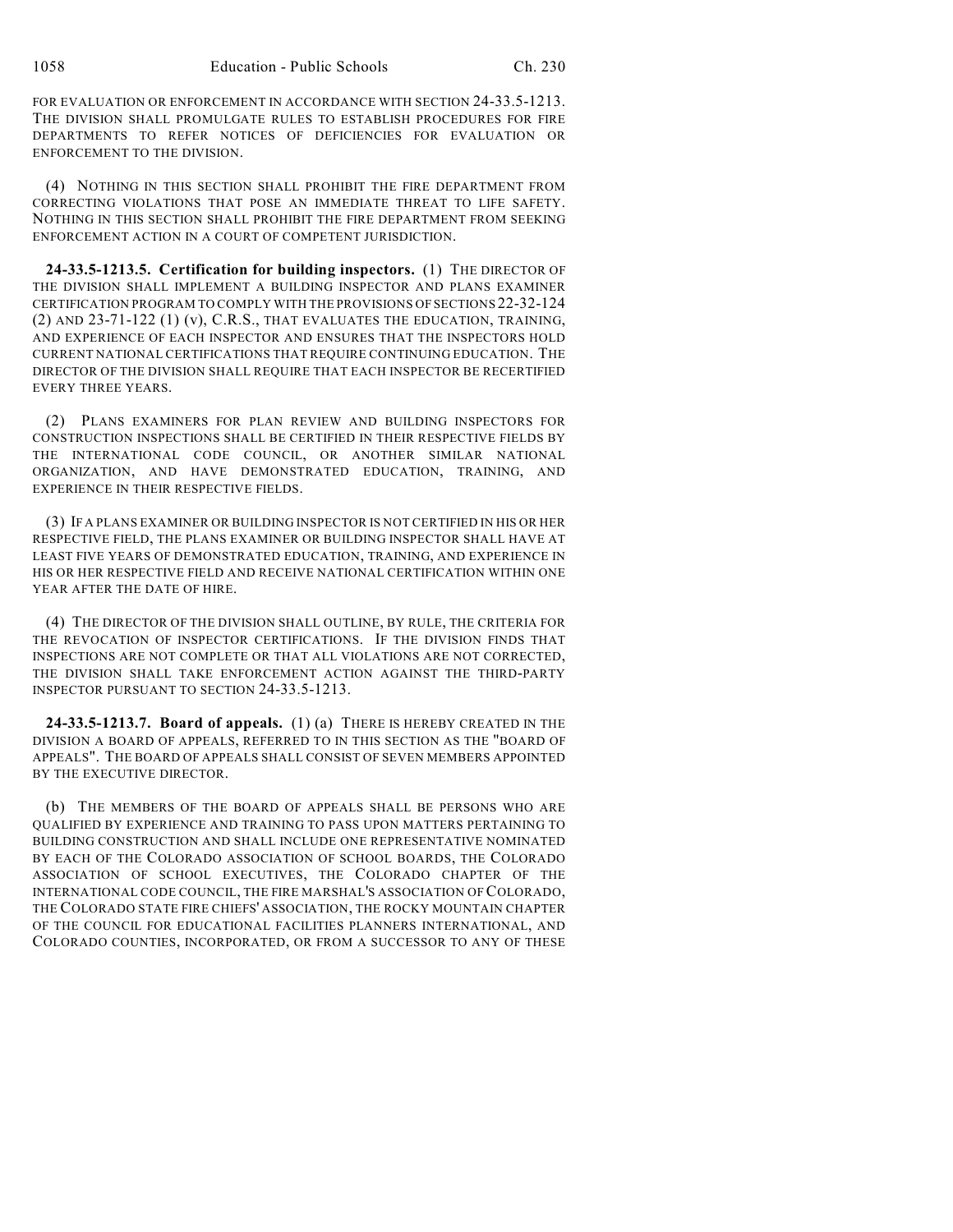FOR EVALUATION OR ENFORCEMENT IN ACCORDANCE WITH SECTION 24-33.5-1213. THE DIVISION SHALL PROMULGATE RULES TO ESTABLISH PROCEDURES FOR FIRE DEPARTMENTS TO REFER NOTICES OF DEFICIENCIES FOR EVALUATION OR ENFORCEMENT TO THE DIVISION.

(4) NOTHING IN THIS SECTION SHALL PROHIBIT THE FIRE DEPARTMENT FROM CORRECTING VIOLATIONS THAT POSE AN IMMEDIATE THREAT TO LIFE SAFETY. NOTHING IN THIS SECTION SHALL PROHIBIT THE FIRE DEPARTMENT FROM SEEKING ENFORCEMENT ACTION IN A COURT OF COMPETENT JURISDICTION.

**24-33.5-1213.5. Certification for building inspectors.** (1) THE DIRECTOR OF THE DIVISION SHALL IMPLEMENT A BUILDING INSPECTOR AND PLANS EXAMINER CERTIFICATION PROGRAM TO COMPLY WITH THE PROVISIONS OF SECTIONS 22-32-124  $(2)$  AND  $23-71-122$   $(1)$   $(v)$ , C.R.S., THAT EVALUATES THE EDUCATION, TRAINING, AND EXPERIENCE OF EACH INSPECTOR AND ENSURES THAT THE INSPECTORS HOLD CURRENT NATIONAL CERTIFICATIONS THAT REQUIRE CONTINUING EDUCATION. THE DIRECTOR OF THE DIVISION SHALL REQUIRE THAT EACH INSPECTOR BE RECERTIFIED EVERY THREE YEARS.

(2) PLANS EXAMINERS FOR PLAN REVIEW AND BUILDING INSPECTORS FOR CONSTRUCTION INSPECTIONS SHALL BE CERTIFIED IN THEIR RESPECTIVE FIELDS BY THE INTERNATIONAL CODE COUNCIL, OR ANOTHER SIMILAR NATIONAL ORGANIZATION, AND HAVE DEMONSTRATED EDUCATION, TRAINING, AND EXPERIENCE IN THEIR RESPECTIVE FIELDS.

(3) IF A PLANS EXAMINER OR BUILDING INSPECTOR IS NOT CERTIFIED IN HIS OR HER RESPECTIVE FIELD, THE PLANS EXAMINER OR BUILDING INSPECTOR SHALL HAVE AT LEAST FIVE YEARS OF DEMONSTRATED EDUCATION, TRAINING, AND EXPERIENCE IN HIS OR HER RESPECTIVE FIELD AND RECEIVE NATIONAL CERTIFICATION WITHIN ONE YEAR AFTER THE DATE OF HIRE.

(4) THE DIRECTOR OF THE DIVISION SHALL OUTLINE, BY RULE, THE CRITERIA FOR THE REVOCATION OF INSPECTOR CERTIFICATIONS. IF THE DIVISION FINDS THAT INSPECTIONS ARE NOT COMPLETE OR THAT ALL VIOLATIONS ARE NOT CORRECTED, THE DIVISION SHALL TAKE ENFORCEMENT ACTION AGAINST THE THIRD-PARTY INSPECTOR PURSUANT TO SECTION 24-33.5-1213.

**24-33.5-1213.7. Board of appeals.** (1) (a) THERE IS HEREBY CREATED IN THE DIVISION A BOARD OF APPEALS, REFERRED TO IN THIS SECTION AS THE "BOARD OF APPEALS". THE BOARD OF APPEALS SHALL CONSIST OF SEVEN MEMBERS APPOINTED BY THE EXECUTIVE DIRECTOR.

(b) THE MEMBERS OF THE BOARD OF APPEALS SHALL BE PERSONS WHO ARE QUALIFIED BY EXPERIENCE AND TRAINING TO PASS UPON MATTERS PERTAINING TO BUILDING CONSTRUCTION AND SHALL INCLUDE ONE REPRESENTATIVE NOMINATED BY EACH OF THE COLORADO ASSOCIATION OF SCHOOL BOARDS, THE COLORADO ASSOCIATION OF SCHOOL EXECUTIVES, THE COLORADO CHAPTER OF THE INTERNATIONAL CODE COUNCIL, THE FIRE MARSHAL'S ASSOCIATION OF COLORADO, THE COLORADO STATE FIRE CHIEFS' ASSOCIATION, THE ROCKY MOUNTAIN CHAPTER OF THE COUNCIL FOR EDUCATIONAL FACILITIES PLANNERS INTERNATIONAL, AND COLORADO COUNTIES, INCORPORATED, OR FROM A SUCCESSOR TO ANY OF THESE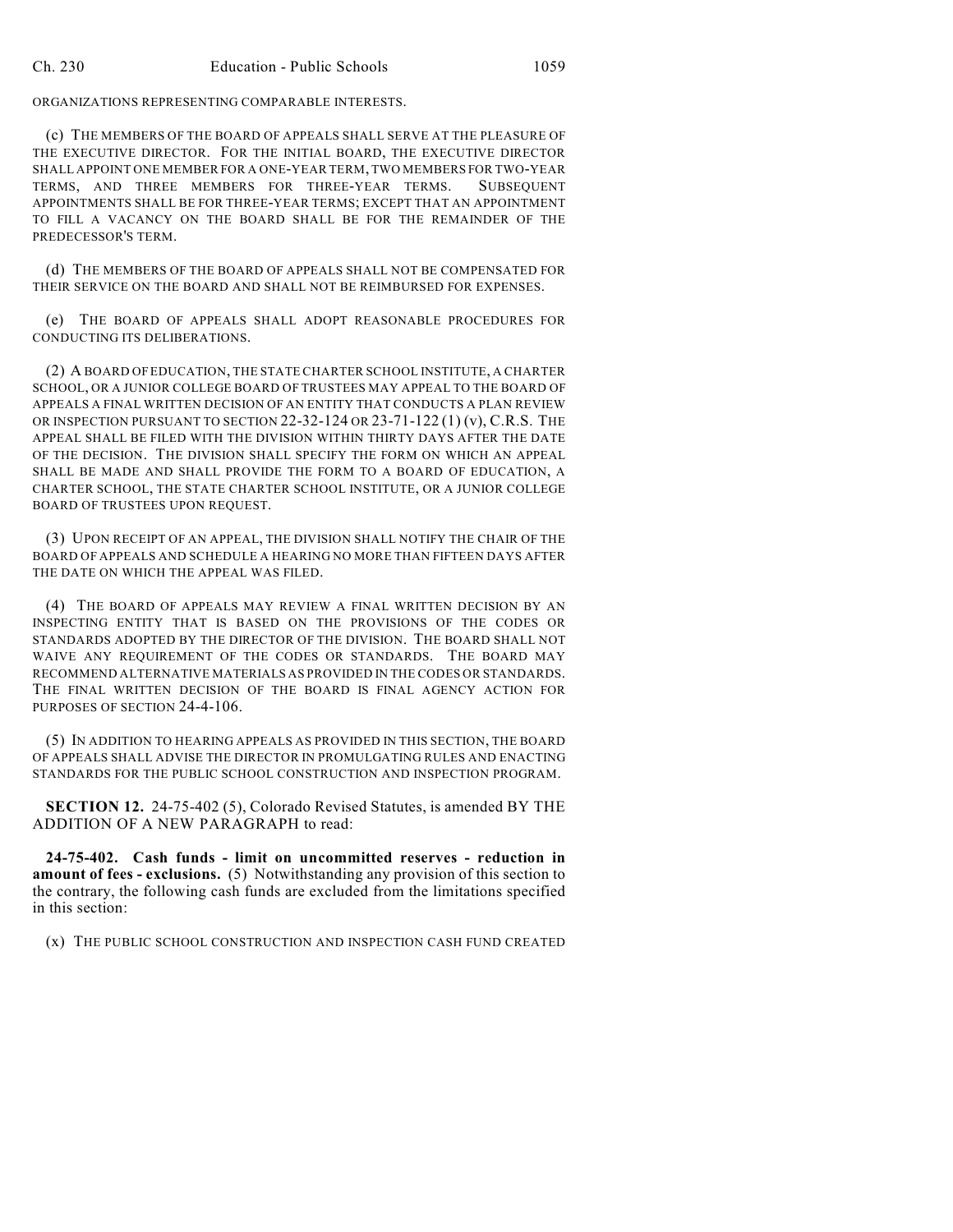ORGANIZATIONS REPRESENTING COMPARABLE INTERESTS.

(c) THE MEMBERS OF THE BOARD OF APPEALS SHALL SERVE AT THE PLEASURE OF THE EXECUTIVE DIRECTOR. FOR THE INITIAL BOARD, THE EXECUTIVE DIRECTOR SHALL APPOINT ONE MEMBER FOR A ONE-YEAR TERM, TWO MEMBERS FOR TWO-YEAR TERMS, AND THREE MEMBERS FOR THREE-YEAR TERMS. SUBSEQUENT APPOINTMENTS SHALL BE FOR THREE-YEAR TERMS; EXCEPT THAT AN APPOINTMENT TO FILL A VACANCY ON THE BOARD SHALL BE FOR THE REMAINDER OF THE PREDECESSOR'S TERM.

(d) THE MEMBERS OF THE BOARD OF APPEALS SHALL NOT BE COMPENSATED FOR THEIR SERVICE ON THE BOARD AND SHALL NOT BE REIMBURSED FOR EXPENSES.

(e) THE BOARD OF APPEALS SHALL ADOPT REASONABLE PROCEDURES FOR CONDUCTING ITS DELIBERATIONS.

(2) A BOARD OF EDUCATION, THE STATE CHARTER SCHOOL INSTITUTE, A CHARTER SCHOOL, OR A JUNIOR COLLEGE BOARD OF TRUSTEES MAY APPEAL TO THE BOARD OF APPEALS A FINAL WRITTEN DECISION OF AN ENTITY THAT CONDUCTS A PLAN REVIEW OR INSPECTION PURSUANT TO SECTION 22-32-124 OR 23-71-122 (1) (v), C.R.S. THE APPEAL SHALL BE FILED WITH THE DIVISION WITHIN THIRTY DAYS AFTER THE DATE OF THE DECISION. THE DIVISION SHALL SPECIFY THE FORM ON WHICH AN APPEAL SHALL BE MADE AND SHALL PROVIDE THE FORM TO A BOARD OF EDUCATION, A CHARTER SCHOOL, THE STATE CHARTER SCHOOL INSTITUTE, OR A JUNIOR COLLEGE BOARD OF TRUSTEES UPON REQUEST.

(3) UPON RECEIPT OF AN APPEAL, THE DIVISION SHALL NOTIFY THE CHAIR OF THE BOARD OF APPEALS AND SCHEDULE A HEARING NO MORE THAN FIFTEEN DAYS AFTER THE DATE ON WHICH THE APPEAL WAS FILED.

(4) THE BOARD OF APPEALS MAY REVIEW A FINAL WRITTEN DECISION BY AN INSPECTING ENTITY THAT IS BASED ON THE PROVISIONS OF THE CODES OR STANDARDS ADOPTED BY THE DIRECTOR OF THE DIVISION. THE BOARD SHALL NOT WAIVE ANY REQUIREMENT OF THE CODES OR STANDARDS. THE BOARD MAY RECOMMEND ALTERNATIVE MATERIALS AS PROVIDED IN THE CODES OR STANDARDS. THE FINAL WRITTEN DECISION OF THE BOARD IS FINAL AGENCY ACTION FOR PURPOSES OF SECTION 24-4-106.

(5) IN ADDITION TO HEARING APPEALS AS PROVIDED IN THIS SECTION, THE BOARD OF APPEALS SHALL ADVISE THE DIRECTOR IN PROMULGATING RULES AND ENACTING STANDARDS FOR THE PUBLIC SCHOOL CONSTRUCTION AND INSPECTION PROGRAM.

**SECTION 12.** 24-75-402 (5), Colorado Revised Statutes, is amended BY THE ADDITION OF A NEW PARAGRAPH to read:

**24-75-402. Cash funds - limit on uncommitted reserves - reduction in amount of fees - exclusions.** (5) Notwithstanding any provision of this section to the contrary, the following cash funds are excluded from the limitations specified in this section:

(x) THE PUBLIC SCHOOL CONSTRUCTION AND INSPECTION CASH FUND CREATED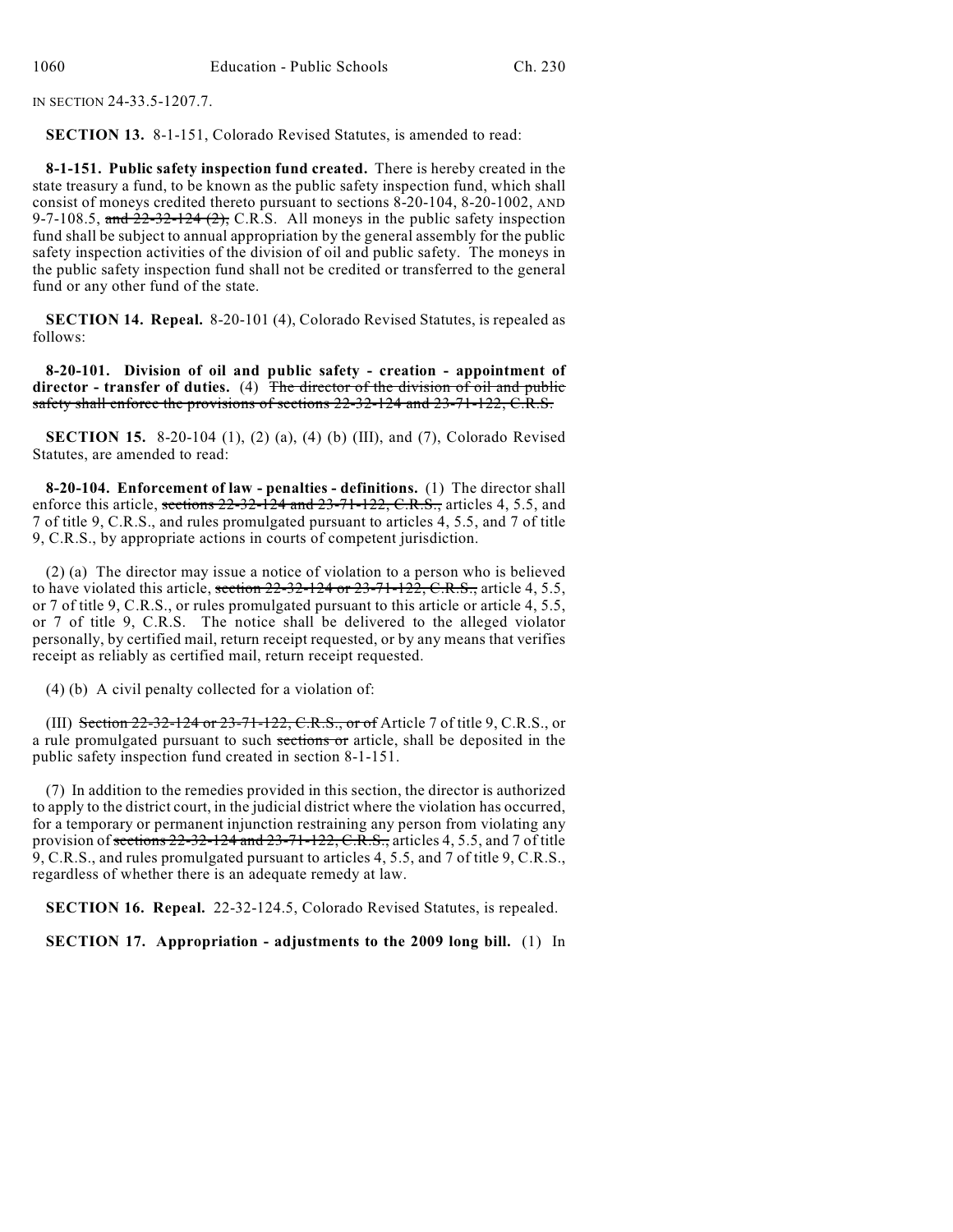IN SECTION 24-33.5-1207.7.

**SECTION 13.** 8-1-151, Colorado Revised Statutes, is amended to read:

**8-1-151. Public safety inspection fund created.** There is hereby created in the state treasury a fund, to be known as the public safety inspection fund, which shall consist of moneys credited thereto pursuant to sections 8-20-104, 8-20-1002, AND 9-7-108.5, and  $22-32-124$  (2), C.R.S. All moneys in the public safety inspection fund shall be subject to annual appropriation by the general assembly for the public safety inspection activities of the division of oil and public safety. The moneys in the public safety inspection fund shall not be credited or transferred to the general fund or any other fund of the state.

**SECTION 14. Repeal.** 8-20-101 (4), Colorado Revised Statutes, is repealed as follows:

**8-20-101. Division of oil and public safety - creation - appointment of** director - transfer of duties. (4) The director of the division of oil and public safety shall enforce the provisions of sections 22-32-124 and 23-71-122, C.R.S.

**SECTION 15.** 8-20-104 (1), (2) (a), (4) (b) (III), and (7), Colorado Revised Statutes, are amended to read:

**8-20-104. Enforcement of law - penalties - definitions.** (1) The director shall enforce this article, sections  $22-32-124$  and  $23-71-122$ , C.R.S., articles 4, 5.5, and 7 of title 9, C.R.S., and rules promulgated pursuant to articles 4, 5.5, and 7 of title 9, C.R.S., by appropriate actions in courts of competent jurisdiction.

(2) (a) The director may issue a notice of violation to a person who is believed to have violated this article, section  $22-32-124$  or  $23-71-122$ , C.R.S., article 4, 5.5, or 7 of title 9, C.R.S., or rules promulgated pursuant to this article or article 4, 5.5, or 7 of title 9, C.R.S. The notice shall be delivered to the alleged violator personally, by certified mail, return receipt requested, or by any means that verifies receipt as reliably as certified mail, return receipt requested.

(4) (b) A civil penalty collected for a violation of:

(III) Section  $22-32-124$  or  $23-71-122$ , C.R.S., or of Article 7 of title 9, C.R.S., or a rule promulgated pursuant to such sections or article, shall be deposited in the public safety inspection fund created in section 8-1-151.

(7) In addition to the remedies provided in this section, the director is authorized to apply to the district court, in the judicial district where the violation has occurred, for a temporary or permanent injunction restraining any person from violating any provision of sections  $22-32-124$  and  $23-71-122$ , C.R.S., articles 4, 5.5, and 7 of title 9, C.R.S., and rules promulgated pursuant to articles 4, 5.5, and 7 of title 9, C.R.S., regardless of whether there is an adequate remedy at law.

**SECTION 16. Repeal.** 22-32-124.5, Colorado Revised Statutes, is repealed.

**SECTION 17. Appropriation - adjustments to the 2009 long bill.** (1) In